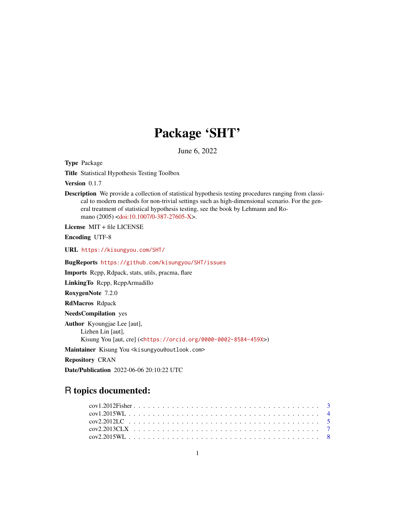# Package 'SHT'

June 6, 2022

Type Package

Title Statistical Hypothesis Testing Toolbox

Version 0.1.7

Description We provide a collection of statistical hypothesis testing procedures ranging from classical to modern methods for non-trivial settings such as high-dimensional scenario. For the general treatment of statistical hypothesis testing, see the book by Lehmann and Romano (2005) [<doi:10.1007/0-387-27605-X>](https://doi.org/10.1007/0-387-27605-X).

License MIT + file LICENSE

Encoding UTF-8

URL <https://kisungyou.com/SHT/>

BugReports <https://github.com/kisungyou/SHT/issues>

Imports Rcpp, Rdpack, stats, utils, pracma, flare

LinkingTo Rcpp, RcppArmadillo

RoxygenNote 7.2.0

RdMacros Rdpack

NeedsCompilation yes

Author Kyoungjae Lee [aut], Lizhen Lin [aut], Kisung You [aut, cre] (<<https://orcid.org/0000-0002-8584-459X>>)

Maintainer Kisung You <kisungyou@outlook.com>

Repository CRAN

Date/Publication 2022-06-06 20:10:22 UTC

## R topics documented:

| cov2.2013CLX |  |  |  |  |  |  |  |  |  |  |  |  |  |  |  |  |  |  |  |  |
|--------------|--|--|--|--|--|--|--|--|--|--|--|--|--|--|--|--|--|--|--|--|
|              |  |  |  |  |  |  |  |  |  |  |  |  |  |  |  |  |  |  |  |  |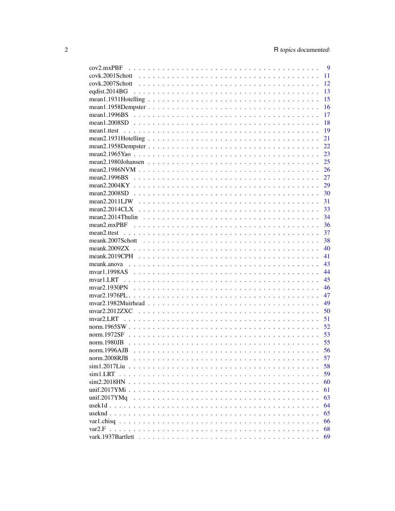| $cov2$ .mx $PBF$  |  |  |  |  |  |  |  |  |  |  |  |  | 9   |
|-------------------|--|--|--|--|--|--|--|--|--|--|--|--|-----|
|                   |  |  |  |  |  |  |  |  |  |  |  |  | 11  |
|                   |  |  |  |  |  |  |  |  |  |  |  |  | 12  |
|                   |  |  |  |  |  |  |  |  |  |  |  |  | 13  |
|                   |  |  |  |  |  |  |  |  |  |  |  |  | 15  |
|                   |  |  |  |  |  |  |  |  |  |  |  |  | 16  |
|                   |  |  |  |  |  |  |  |  |  |  |  |  | 17  |
|                   |  |  |  |  |  |  |  |  |  |  |  |  | 18  |
|                   |  |  |  |  |  |  |  |  |  |  |  |  | 19  |
|                   |  |  |  |  |  |  |  |  |  |  |  |  | 21  |
|                   |  |  |  |  |  |  |  |  |  |  |  |  | 22  |
|                   |  |  |  |  |  |  |  |  |  |  |  |  | 23  |
|                   |  |  |  |  |  |  |  |  |  |  |  |  | 25  |
|                   |  |  |  |  |  |  |  |  |  |  |  |  |     |
|                   |  |  |  |  |  |  |  |  |  |  |  |  | 27  |
|                   |  |  |  |  |  |  |  |  |  |  |  |  |     |
|                   |  |  |  |  |  |  |  |  |  |  |  |  |     |
|                   |  |  |  |  |  |  |  |  |  |  |  |  | -30 |
|                   |  |  |  |  |  |  |  |  |  |  |  |  | 31  |
|                   |  |  |  |  |  |  |  |  |  |  |  |  | 33  |
|                   |  |  |  |  |  |  |  |  |  |  |  |  | 34  |
| $mean2$ .mx $PBF$ |  |  |  |  |  |  |  |  |  |  |  |  | -36 |
|                   |  |  |  |  |  |  |  |  |  |  |  |  | 37  |
|                   |  |  |  |  |  |  |  |  |  |  |  |  | -38 |
|                   |  |  |  |  |  |  |  |  |  |  |  |  | 40  |
|                   |  |  |  |  |  |  |  |  |  |  |  |  | 41  |
|                   |  |  |  |  |  |  |  |  |  |  |  |  | 43  |
|                   |  |  |  |  |  |  |  |  |  |  |  |  | 44  |
|                   |  |  |  |  |  |  |  |  |  |  |  |  | 45  |
|                   |  |  |  |  |  |  |  |  |  |  |  |  | 46  |
|                   |  |  |  |  |  |  |  |  |  |  |  |  | 47  |
|                   |  |  |  |  |  |  |  |  |  |  |  |  | 49  |
|                   |  |  |  |  |  |  |  |  |  |  |  |  | 50  |
| mvar2.LRT         |  |  |  |  |  |  |  |  |  |  |  |  | 51  |
|                   |  |  |  |  |  |  |  |  |  |  |  |  | 52  |
| norm.1972SF       |  |  |  |  |  |  |  |  |  |  |  |  | 53  |
| norm.1980JB       |  |  |  |  |  |  |  |  |  |  |  |  | 55  |
| norm.1996AJB      |  |  |  |  |  |  |  |  |  |  |  |  | 56  |
| norm.2008RJB      |  |  |  |  |  |  |  |  |  |  |  |  | 57  |
|                   |  |  |  |  |  |  |  |  |  |  |  |  | 58  |
| sim1~LRT          |  |  |  |  |  |  |  |  |  |  |  |  | 59  |
| $sim2.2018$ HN    |  |  |  |  |  |  |  |  |  |  |  |  | 60  |
|                   |  |  |  |  |  |  |  |  |  |  |  |  | 61  |
| unif.2017YMq      |  |  |  |  |  |  |  |  |  |  |  |  | 63  |
|                   |  |  |  |  |  |  |  |  |  |  |  |  | 64  |
|                   |  |  |  |  |  |  |  |  |  |  |  |  | 65  |
| var1.chisq        |  |  |  |  |  |  |  |  |  |  |  |  | 66  |
|                   |  |  |  |  |  |  |  |  |  |  |  |  |     |
|                   |  |  |  |  |  |  |  |  |  |  |  |  | 68  |
|                   |  |  |  |  |  |  |  |  |  |  |  |  | 69  |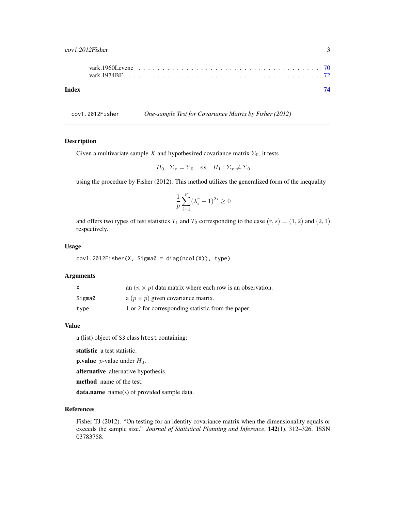<span id="page-2-0"></span>

| Index |  |  |  |  |  |  |  |  |  |  |  |  |  |  |  | 74 |
|-------|--|--|--|--|--|--|--|--|--|--|--|--|--|--|--|----|
|       |  |  |  |  |  |  |  |  |  |  |  |  |  |  |  |    |
|       |  |  |  |  |  |  |  |  |  |  |  |  |  |  |  |    |

cov1.2012Fisher *One-sample Test for Covariance Matrix by Fisher (2012)*

## Description

Given a multivariate sample X and hypothesized covariance matrix  $\Sigma_0$ , it tests

$$
H_0: \Sigma_x = \Sigma_0 \quad vs \quad H_1: \Sigma_x \neq \Sigma_0
$$

using the procedure by Fisher (2012). This method utilizes the generalized form of the inequality

$$
\frac{1}{p} \sum_{i=1}^{p} (\lambda_i^r - 1)^{2s} \ge 0
$$

and offers two types of test statistics  $T_1$  and  $T_2$  corresponding to the case  $(r, s) = (1, 2)$  and  $(2, 1)$ respectively.

#### Usage

 $cov1.2012Fisher(X, Sigma0 = diag(ncol(X)), type)$ 

#### Arguments

|        | an $(n \times p)$ data matrix where each row is an observation. |
|--------|-----------------------------------------------------------------|
| Sigma0 | a $(p \times p)$ given covariance matrix.                       |
| type   | 1 or 2 for corresponding statistic from the paper.              |

#### Value

a (list) object of S3 class htest containing:

statistic a test statistic.

**p.value** *p*-value under  $H_0$ .

alternative alternative hypothesis.

method name of the test.

data.name name(s) of provided sample data.

#### References

Fisher TJ (2012). "On testing for an identity covariance matrix when the dimensionality equals or exceeds the sample size." *Journal of Statistical Planning and Inference*, 142(1), 312–326. ISSN 03783758.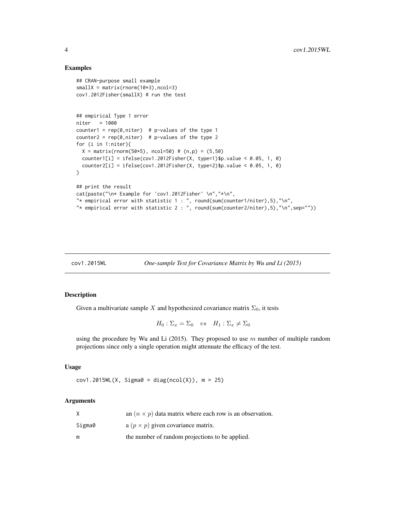## Examples

```
## CRAN-purpose small example
smallX = matrix(rnorm(10*3), ncol=3)cov1.2012Fisher(smallX) # run the test
## empirical Type 1 error
niter = 1000counter1 = rep(0,niter) # p-values of the type 1
counter2 = rep(0,niter) # p-values of the type 2
for (i in 1:niter){
  X = matrix(rnorm(50*5), ncol=50) # (n,p) = (5,50)counter1[i] = ifelse(cov1.2012Fisher(X, type=1)$p.value < 0.05, 1, 0)
  counter2[i] = ifelse(cov1.2012Fisher(X, type=2)$p.value < 0.05, 1, 0)
}
## print the result
cat(paste("\n* Example for 'cov1.2012Fisher' \n","*\n",
"* empirical error with statistic 1 : ", round(sum(counter1/niter),5),"\n",
"* empirical error with statistic 2 : ", round(sum(counter2/niter),5),"\n",sep=""))
```
cov1.2015WL *One-sample Test for Covariance Matrix by Wu and Li (2015)*

#### Description

Given a multivariate sample X and hypothesized covariance matrix  $\Sigma_0$ , it tests

 $H_0: \Sigma_x = \Sigma_0$  vs  $H_1: \Sigma_x \neq \Sigma_0$ 

using the procedure by Wu and Li  $(2015)$ . They proposed to use m number of multiple random projections since only a single operation might attenuate the efficacy of the test.

#### Usage

 $cov1.2015WL(X, Sigma0 = diag(ncol(X)), m = 25)$ 

## Arguments

|        | an $(n \times p)$ data matrix where each row is an observation. |
|--------|-----------------------------------------------------------------|
| Sigma0 | a $(p \times p)$ given covariance matrix.                       |
| m      | the number of random projections to be applied.                 |

<span id="page-3-0"></span>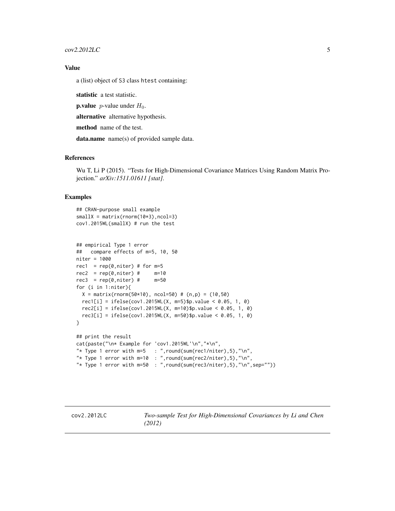<span id="page-4-0"></span> $cov2.2012 LC$  5

## Value

a (list) object of S3 class htest containing:

statistic a test statistic.

**p.value** *p*-value under  $H_0$ .

alternative alternative hypothesis.

method name of the test.

data.name name(s) of provided sample data.

## References

Wu T, Li P (2015). "Tests for High-Dimensional Covariance Matrices Using Random Matrix Projection." *arXiv:1511.01611 [stat]*.

```
## CRAN-purpose small example
smallx = matrix(rnorm(10*3), ncol=3)cov1.2015WL(smallX) # run the test
```

```
## empirical Type 1 error
## compare effects of m=5, 10, 50
niter = 1000
rec1 = rep(0,niter) # for m=5
rec2 = rep(0,niter) # \t m=10rec3 = rep(0,niter) # m=50for (i in 1:niter){
 X = matrix(rnorm(50*10), ncol=50) # (n,p) = (10,50)rec1[i] = ifelse(cov1.2015WL(X, m=5)$p.value < 0.05, 1, 0)
  rec2[i] = ifelse(cov1.2015WL(X, m=10)$p.value < 0.05, 1, 0)
  rec3[i] = ifelse(cov1.2015WL(X, m=50)$p.value < 0.05, 1, 0)
}
## print the result
cat(paste("\n* Example for 'cov1.2015WL'\n","*\n",
"* Type 1 error with m=5 : ", round(sum(rec1/niter), 5), "\n",
"* Type 1 error with m=10 : ", round(sum(rec2/niter), 5), "\n",
"* Type 1 error with m=50 : ", round(sum(rec3/niter), 5), "\n", sep=""))
```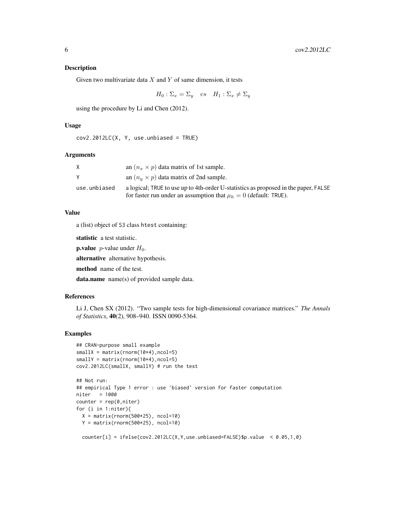#### Description

Given two multivariate data  $X$  and  $Y$  of same dimension, it tests

 $H_0: \Sigma_x = \Sigma_y$  vs  $H_1: \Sigma_x \neq \Sigma_y$ 

using the procedure by Li and Chen (2012).

#### Usage

```
cov2.2012LC(X, Y, use. unbiased = TRUE)
```
#### Arguments

|              | an $(n_x \times p)$ data matrix of 1st sample.                                                                                                              |
|--------------|-------------------------------------------------------------------------------------------------------------------------------------------------------------|
|              | an $(n_u \times p)$ data matrix of 2nd sample.                                                                                                              |
| use.unbiased | a logical; TRUE to use up to 4th-order U-statistics as proposed in the paper, FALSE<br>for faster run under an assumption that $\mu_h = 0$ (default: TRUE). |

#### Value

a (list) object of S3 class htest containing:

statistic a test statistic.

**p.value** *p*-value under  $H_0$ .

alternative alternative hypothesis.

method name of the test.

data.name name(s) of provided sample data.

## References

Li J, Chen SX (2012). "Two sample tests for high-dimensional covariance matrices." *The Annals of Statistics*, 40(2), 908–940. ISSN 0090-5364.

## Examples

```
## CRAN-purpose small example
smallX = matrix(rnorm(10*4),ncol=5)smallY = matrix(rnorm(10*4),ncol=5)cov2.2012LC(smallX, smallY) # run the test
```

```
## Not run:
## empirical Type 1 error : use 'biased' version for faster computation
niter = 1000
counter = rep(0,niter)for (i in 1:niter){
 X = matrix(rnorm(500*25), ncol=10)Y = matrix(rnorm(500*25), ncol=10)
```
counter[i] = ifelse(cov2.2012LC(X, Y, use.unbiased=FALSE)\$p.value <  $0.05, 1, 0$ )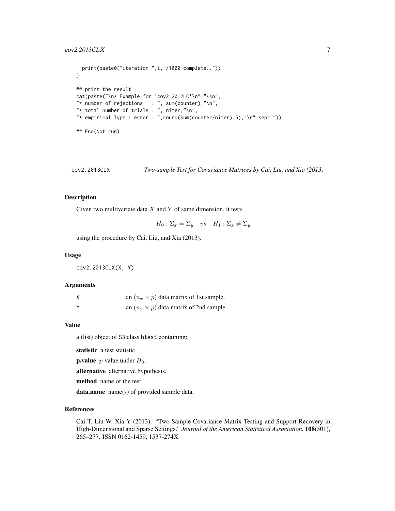```
print(paste0("iteration ",i,"/1000 complete.."))
}
## print the result
cat(paste("\n* Example for 'cov2.2012LC'\n","*\n",
"* number of rejections : ", sum(counter), "\n",
"* total number of trials : ", niter,"\n",
"* empirical Type 1 error : ",round(sum(counter/niter),5),"\n",sep=""))
## End(Not run)
```

```
cov2.2013CLX Two-sample Test for Covariance Matrices by Cai, Liu, and Xia (2013)
```
#### Description

Given two multivariate data  $X$  and  $Y$  of same dimension, it tests

 $H_0: \Sigma_x = \Sigma_y$  vs  $H_1: \Sigma_x \neq \Sigma_y$ 

using the procedure by Cai, Liu, and Xia (2013).

## Usage

cov2.2013CLX(X, Y)

## Arguments

| an $(n_x \times p)$ data matrix of 1st sample. |
|------------------------------------------------|
| an $(n_u \times p)$ data matrix of 2nd sample. |

#### Value

a (list) object of S3 class htest containing:

statistic a test statistic.

**p.value** *p*-value under  $H_0$ .

alternative alternative hypothesis.

method name of the test.

data.name name(s) of provided sample data.

## References

Cai T, Liu W, Xia Y (2013). "Two-Sample Covariance Matrix Testing and Support Recovery in High-Dimensional and Sparse Settings." *Journal of the American Statistical Association*, 108(501), 265–277. ISSN 0162-1459, 1537-274X.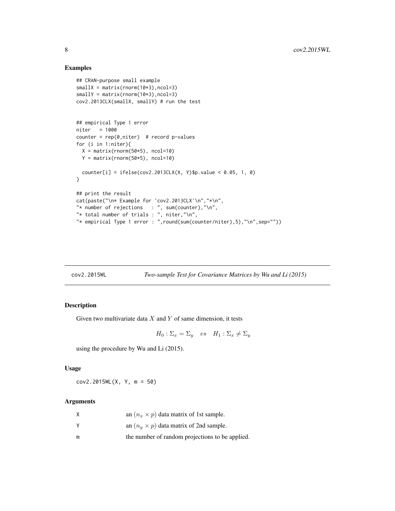## Examples

```
## CRAN-purpose small example
smallX = matrix(rnorm(10*3),ncol=3)smallY = matrix(rnorm(10*3),ncol=3)
cov2.2013CLX(smallX, smallY) # run the test
## empirical Type 1 error
niter = 1000
counter = rep(0,niter) # record p-values
for (i in 1:niter){
 X = matrix(rnorm(50*5), ncol=10)Y = matrix(rnorm(50*5), ncol=10)counter[i] = ifelse(cov2.2013CLX(X, Y)$p.value < 0.05, 1, 0)
}
## print the result
cat(paste("\n* Example for 'cov2.2013CLX'\n","*\n",
"* number of rejections : ", sum(counter), "\n",
"* total number of trials : ", niter,"\n",
"* empirical Type 1 error : ",round(sum(counter/niter),5),"\n",sep=""))
```
cov2.2015WL *Two-sample Test for Covariance Matrices by Wu and Li (2015)*

## Description

Given two multivariate data  $X$  and  $Y$  of same dimension, it tests

$$
H_0: \Sigma_x = \Sigma_y \quad vs \quad H_1: \Sigma_x \neq \Sigma_y
$$

using the procedure by Wu and Li (2015).

## Usage

cov2.2015WL(X, Y, m = 50)

#### Arguments

| Χ | an $(n_x \times p)$ data matrix of 1st sample.  |
|---|-------------------------------------------------|
|   | an $(n_u \times p)$ data matrix of 2nd sample.  |
| m | the number of random projections to be applied. |

<span id="page-7-0"></span>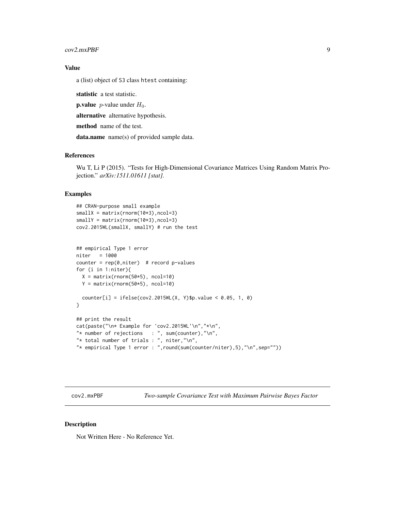<span id="page-8-0"></span>cov2.mxPBF 9

## Value

a (list) object of S3 class htest containing:

statistic a test statistic.

**p.value** *p*-value under  $H_0$ .

alternative alternative hypothesis.

method name of the test.

data.name name(s) of provided sample data.

## References

Wu T, Li P (2015). "Tests for High-Dimensional Covariance Matrices Using Random Matrix Projection." *arXiv:1511.01611 [stat]*.

## Examples

```
## CRAN-purpose small example
smallx = matrix(rnorm(10*3), ncol=3)smallY = matrix(rnorm(10*3), ncol=3)
cov2.2015WL(smallX, smallY) # run the test
## empirical Type 1 error
niter = 1000
counter = rep(0,niter) # record p-values
for (i in 1:niter){
  X = matrix(rnorm(50*5), ncol=10)Y = matrix(rnorm(50*5), ncol=10)
  counter[i] = ifelse(cov2.2015WL(X, Y)$p.value < 0.05, 1, 0)
}
## print the result
cat(paste("\n* Example for 'cov2.2015WL'\n","*\n",
"* number of rejections : ", sum(counter), "\n",
"* total number of trials : ", niter,"\n",
"* empirical Type 1 error : ",round(sum(counter/niter),5),"\n",sep=""))
```
cov2.mxPBF *Two-sample Covariance Test with Maximum Pairwise Bayes Factor*

#### Description

Not Written Here - No Reference Yet.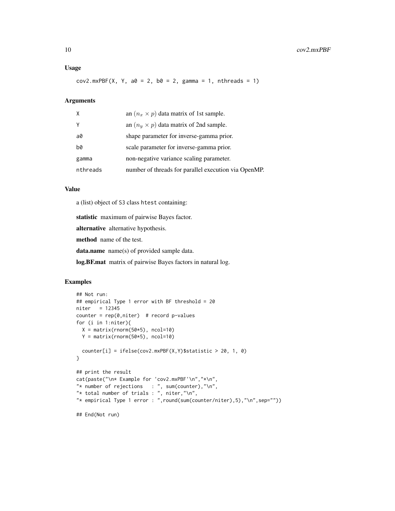## Usage

 $cov2.mxPBF(X, Y, a0 = 2, b0 = 2, gamma = 1, nthreads = 1)$ 

#### Arguments

| X        | an $(n_x \times p)$ data matrix of 1st sample.       |
|----------|------------------------------------------------------|
| γ        | an $(n_y \times p)$ data matrix of 2nd sample.       |
| a0       | shape parameter for inverse-gamma prior.             |
| b0       | scale parameter for inverse-gamma prior.             |
| gamma    | non-negative variance scaling parameter.             |
| nthreads | number of threads for parallel execution via OpenMP. |

## Value

a (list) object of S3 class htest containing:

statistic maximum of pairwise Bayes factor.

alternative alternative hypothesis.

method name of the test.

data.name name(s) of provided sample data.

log.BF.mat matrix of pairwise Bayes factors in natural log.

```
## Not run:
## empirical Type 1 error with BF threshold = 20
niter = 12345
counter = rep(0,niter) # record p-values
for (i in 1:niter){
 X = matrix(rnorm(50*5), ncol=10)Y = matrix(rnorm(50*5), ncol=10)counter[i] = ifelse(cov2.mxPBF(X,Y) $statistic > 20, 1, 0)}
## print the result
cat(paste("\n* Example for 'cov2.mxPBF'\n","*\n",
"* number of rejections : ", sum(counter), "\n",
"* total number of trials : ", niter,"\n",
"* empirical Type 1 error : ",round(sum(counter/niter),5),"\n",sep=""))
## End(Not run)
```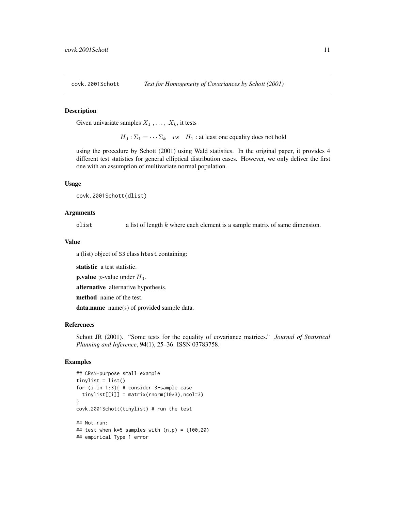<span id="page-10-0"></span>

## Description

Given univariate samples  $X_1, \ldots, X_k$ , it tests

 $H_0: \Sigma_1 = \cdots \Sigma_k$  vs  $H_1$ : at least one equality does not hold

using the procedure by Schott (2001) using Wald statistics. In the original paper, it provides 4 different test statistics for general elliptical distribution cases. However, we only deliver the first one with an assumption of multivariate normal population.

#### Usage

covk.2001Schott(dlist)

#### Arguments

dlist a list of length k where each element is a sample matrix of same dimension.

#### Value

a (list) object of S3 class htest containing:

statistic a test statistic.

**p.value** *p*-value under  $H_0$ .

alternative alternative hypothesis.

method name of the test.

data.name name(s) of provided sample data.

#### References

Schott JR (2001). "Some tests for the equality of covariance matrices." *Journal of Statistical Planning and Inference*, 94(1), 25–36. ISSN 03783758.

```
## CRAN-purpose small example
tinylist = list()
for (i in 1:3){ # consider 3-sample case
  tinylist[[i]] = matrix(rnorm(10*3), ncol=3)}
covk.2001Schott(tinylist) # run the test
## Not run:
## test when k=5 samples with (n,p) = (100,20)## empirical Type 1 error
```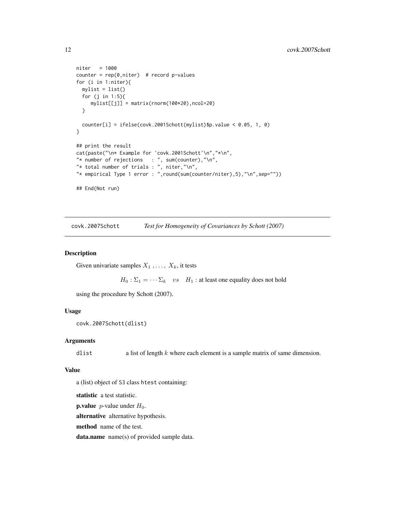```
niter = 1000
counter = rep(0,niter) # record p-values
for (i in 1:niter){
 mylist = list()for (j in 1:5){
    mylist[[j]] = matrix(rnorm(100*20),ncol=20)
  }
  counter[i] = ifelse(covk.2001Schott(mylist)$p.value < 0.05, 1, 0)
}
## print the result
cat(paste("\n* Example for 'covk.2001Schott'\n","*\n",
"* number of rejections : ", sum(counter), "\n",
"* total number of trials : ", niter,"\n",
"* empirical Type 1 error : ",round(sum(counter/niter),5),"\n",sep=""))
## End(Not run)
```
covk.2007Schott *Test for Homogeneity of Covariances by Schott (2007)*

#### Description

Given univariate samples  $X_1, \ldots, X_k$ , it tests

 $H_0$ :  $\Sigma_1 = \cdots \Sigma_k$  vs  $H_1$ : at least one equality does not hold

using the procedure by Schott (2007).

## Usage

```
covk.2007Schott(dlist)
```
## Arguments

dlist a list of length k where each element is a sample matrix of same dimension.

## Value

a (list) object of S3 class htest containing:

statistic a test statistic.

**p.value** *p*-value under  $H_0$ .

alternative alternative hypothesis.

method name of the test.

data.name name(s) of provided sample data.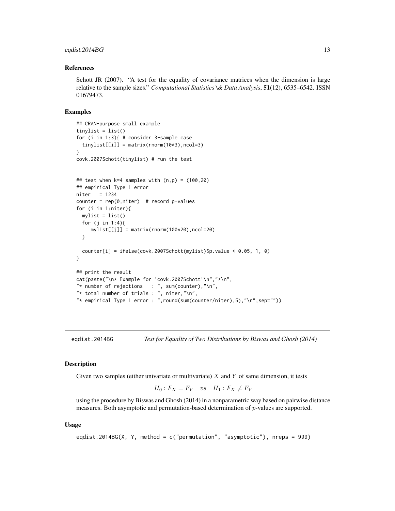## <span id="page-12-0"></span>eqdist.2014BG 13

#### References

Schott JR (2007). "A test for the equality of covariance matrices when the dimension is large relative to the sample sizes." *Computational Statistics \& Data Analysis*, 51(12), 6535–6542. ISSN 01679473.

#### Examples

```
## CRAN-purpose small example
tinylist = list()
for (i in 1:3){ # consider 3-sample case
 tinylist[[i]] = matrix(rnorm(10*3), ncol=3)}
covk.2007Schott(tinylist) # run the test
## test when k=4 samples with (n,p) = (100,20)## empirical Type 1 error
niter = 1234
counter = rep(0,niter) # record p-values
for (i in 1:niter){
 mylist = list()for (j in 1:4){
    mylist[[j]] = matrix(rnorm(100*20),ncol=20)
 }
 counter[i] = ifelse(covk.2007Schott(mylist)$p.value < 0.05, 1, 0)
}
## print the result
cat(paste("\n* Example for 'covk.2007Schott'\n","*\n",
"* number of rejections : ", sum(counter), "\n",
"* total number of trials : ", niter, "\n",
"* empirical Type 1 error : ",round(sum(counter/niter),5),"\n",sep=""))
```
eqdist.2014BG *Test for Equality of Two Distributions by Biswas and Ghosh (2014)*

#### **Description**

Given two samples (either univariate or multivariate)  $X$  and  $Y$  of same dimension, it tests

$$
H_0: F_X = F_Y \quad vs \quad H_1: F_X \neq F_Y
$$

using the procedure by Biswas and Ghosh (2014) in a nonparametric way based on pairwise distance measures. Both asymptotic and permutation-based determination of p-values are supported.

#### Usage

```
eqdist.2014BG(X, Y, method = c("permutation", "asymptotic"), nreps = 999)
```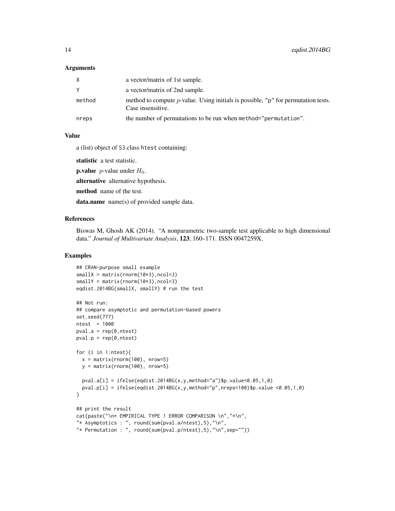## Arguments

| X.     | a vector/matrix of 1st sample.                                                                                     |
|--------|--------------------------------------------------------------------------------------------------------------------|
|        | a vector/matrix of 2nd sample.                                                                                     |
| method | method to compute <i>p</i> -value. Using initials is possible, " $p$ " for permutation tests.<br>Case insensitive. |
| nreps  | the number of permutations to be run when method="permutation".                                                    |

## Value

a (list) object of S3 class htest containing:

statistic a test statistic.

**p.value** *p*-value under  $H_0$ .

alternative alternative hypothesis.

method name of the test.

data.name name(s) of provided sample data.

## References

Biswas M, Ghosh AK (2014). "A nonparametric two-sample test applicable to high dimensional data." *Journal of Multivariate Analysis*, 123, 160–171. ISSN 0047259X.

```
## CRAN-purpose small example
smallx = matrix(rnorm(10*3),ncol=3)smallY = matrix(rnorm(10*3),ncol=3)
eqdist.2014BG(smallX, smallY) # run the test
## Not run:
## compare asymptotic and permutation-based powers
set.seed(777)
ntest = 1000pval.a = rep(0,ntest)pval.p = rep(0,ntest)for (i in 1:ntest){
  x = matrix(rnorm(100), nrow=5)y = matrix(rnorm(100), nrow=5)pval.a[i] = ifelse(eqdist.2014BG(x,y,method="a")$p.value<0.05,1,0)pval.p[i] = ifelse(eqdist.2014BG(x,y,method="p",nreps=100)$p.value <0.05,1,0)
}
## print the result
cat(paste("\n* EMPIRICAL TYPE 1 ERROR COMPARISON \n","*\n",
"* Asymptotics : ", round(sum(pval.a/ntest),5),"\n",
"* Permutation : ", round(sum(pval.p/ntest),5),"\n",sep=""))
```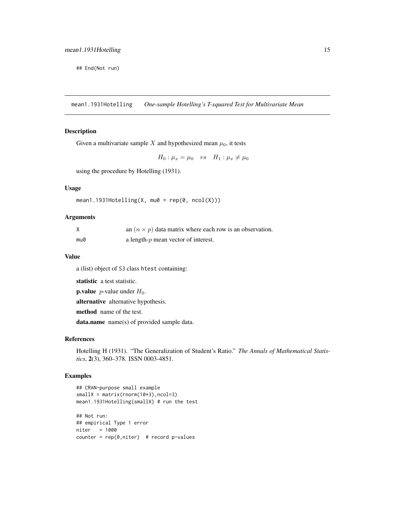<span id="page-14-0"></span>## End(Not run)

mean1.1931Hotelling *One-sample Hotelling's T-squared Test for Multivariate Mean*

## Description

Given a multivariate sample X and hypothesized mean  $\mu_0$ , it tests

$$
H_0: \mu_x = \mu_0 \quad vs \quad H_1: \mu_x \neq \mu_0
$$

using the procedure by Hotelling (1931).

## Usage

```
mean1.1931Hotelling(X, mu0 = rep(0, ncol(X)))
```
## Arguments

|     | an $(n \times p)$ data matrix where each row is an observation. |
|-----|-----------------------------------------------------------------|
| mu0 | a length- $p$ mean vector of interest.                          |

#### Value

a (list) object of S3 class htest containing:

statistic a test statistic.

**p.value** *p*-value under  $H_0$ .

alternative alternative hypothesis.

method name of the test.

data.name name(s) of provided sample data.

## References

Hotelling H (1931). "The Generalization of Student's Ratio." *The Annals of Mathematical Statistics*, 2(3), 360–378. ISSN 0003-4851.

```
## CRAN-purpose small example
smallx = matrix(rnorm(10*3), ncol=3)mean1.1931Hotelling(smallX) # run the test
## Not run:
## empirical Type 1 error
niter = 1000
counter = rep(0,niter) # record p-values
```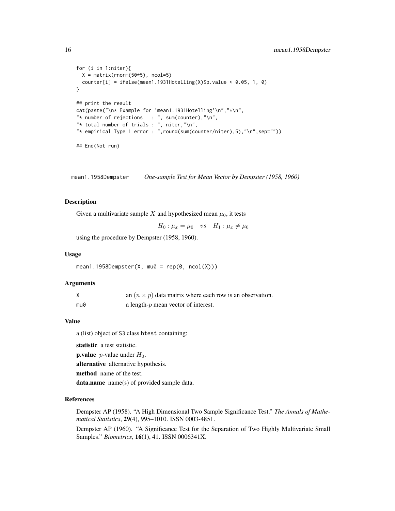```
for (i in 1:niter){
  X = matrix(rnorm(50*5), ncol=5)counter[i] = ifelse(mean1.1931Hotelling(X)\p.value < 0.05, 1, 0)
}
## print the result
cat(paste("\n* Example for 'mean1.1931Hotelling'\n","*\n",
"* number of rejections : ", sum(counter), "\n",
"* total number of trials : ", niter, "\n",
"* empirical Type 1 error : ",round(sum(counter/niter),5),"\n",sep=""))
## End(Not run)
```
mean1.1958Dempster *One-sample Test for Mean Vector by Dempster (1958, 1960)*

## Description

Given a multivariate sample X and hypothesized mean  $\mu_0$ , it tests

$$
H_0: \mu_x = \mu_0 \quad vs \quad H_1: \mu_x \neq \mu_0
$$

using the procedure by Dempster (1958, 1960).

#### Usage

 $mean1.1958Dempster(X, mu0 = rep(0, ncol(X)))$ 

## Arguments

|     | an $(n \times p)$ data matrix where each row is an observation. |
|-----|-----------------------------------------------------------------|
| mu0 | a length- $p$ mean vector of interest.                          |

#### Value

a (list) object of S3 class htest containing:

statistic a test statistic.

**p.value** *p*-value under  $H_0$ .

alternative alternative hypothesis.

method name of the test.

data.name name(s) of provided sample data.

#### References

Dempster AP (1958). "A High Dimensional Two Sample Significance Test." *The Annals of Mathematical Statistics*, 29(4), 995–1010. ISSN 0003-4851.

Dempster AP (1960). "A Significance Test for the Separation of Two Highly Multivariate Small Samples." *Biometrics*, 16(1), 41. ISSN 0006341X.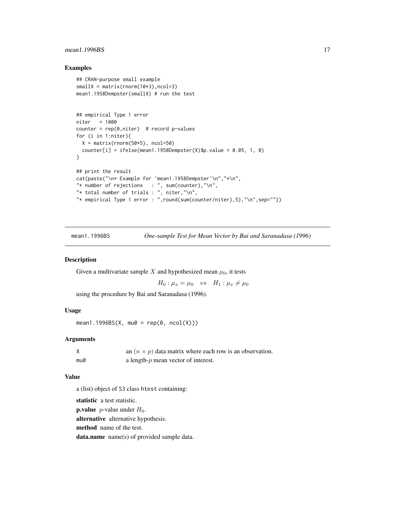## <span id="page-16-0"></span>mean1.1996BS 17

## Examples

```
## CRAN-purpose small example
smallX = matrix(rnorm(10*3), ncol=3)mean1.1958Dempster(smallX) # run the test
## empirical Type 1 error
niter = 1000
counter = rep(0,niter) # record p-values
for (i in 1:niter){
  X = matrix(rnorm(50*5), ncol=50)counter[i] = ifelse(mean1.1958Dempster(X)$p.value < 0.05, 1, 0)
}
## print the result
cat(paste("\n* Example for 'mean1.1958Dempster'\n","*\n",
"* number of rejections : ", sum(counter), "\n",
"* total number of trials : ", niter,"\n",
"* empirical Type 1 error : ",round(sum(counter/niter),5),"\n",sep=""))
```
mean1.1996BS *One-sample Test for Mean Vector by Bai and Saranadasa (1996)*

#### Description

Given a multivariate sample X and hypothesized mean  $\mu_0$ , it tests

 $H_0: \mu_x = \mu_0 \quad vs \quad H_1: \mu_x \neq \mu_0$ 

using the procedure by Bai and Saranadasa (1996).

## Usage

 $mean1.1996BS(X, mu0 = rep(0, ncol(X)))$ 

## Arguments

|     | an $(n \times p)$ data matrix where each row is an observation. |
|-----|-----------------------------------------------------------------|
| mu0 | a length- $p$ mean vector of interest.                          |

## Value

a (list) object of S3 class htest containing:

statistic a test statistic.

**p.value** *p*-value under  $H_0$ .

alternative alternative hypothesis.

method name of the test.

data.name name(s) of provided sample data.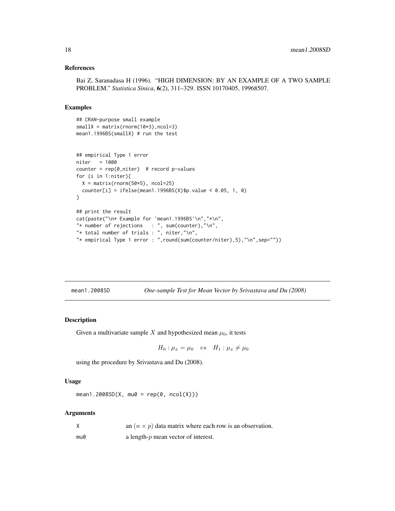#### <span id="page-17-0"></span>References

```
Bai Z, Saranadasa H (1996). "HIGH DIMENSION: BY AN EXAMPLE OF A TWO SAMPLE
PROBLEM." Statistica Sinica, 6(2), 311–329. ISSN 10170405, 19968507.
```
#### Examples

```
## CRAN-purpose small example
smallX = matrix(rnorm(10*3),ncol=3)mean1.1996BS(smallX) # run the test
## empirical Type 1 error
niter = 1000
counter = rep(\emptyset, niter) # record p-values
for (i in 1:niter){
 X = matrix(rnorm(50*5), ncol=25)counter[i] = ifelse(mean1.1996BS(X)$p.value < 0.05, 1, 0)
}
## print the result
cat(paste("\n* Example for 'mean1.1996BS'\n","*\n",
"* number of rejections : ", sum(counter), "\n",
"* total number of trials : ", niter,"\n",
"* empirical Type 1 error : ",round(sum(counter/niter),5),"\n",sep=""))
```

| mean1.2008SD |  | One-sample Test for Mean Vector by Srivastava and Du (2008) |  |
|--------------|--|-------------------------------------------------------------|--|
|              |  |                                                             |  |

## Description

Given a multivariate sample X and hypothesized mean  $\mu_0$ , it tests

$$
H_0: \mu_x = \mu_0 \quad vs \quad H_1: \mu_x \neq \mu_0
$$

using the procedure by Srivastava and Du (2008).

#### Usage

```
mean1.2008SD(X, mu0 = rep(0, ncol(X)))
```
#### Arguments

|  |  |  | an $(n \times p)$ data matrix where each row is an observation. |  |  |
|--|--|--|-----------------------------------------------------------------|--|--|
|--|--|--|-----------------------------------------------------------------|--|--|

 $mu0$  a length-p mean vector of interest.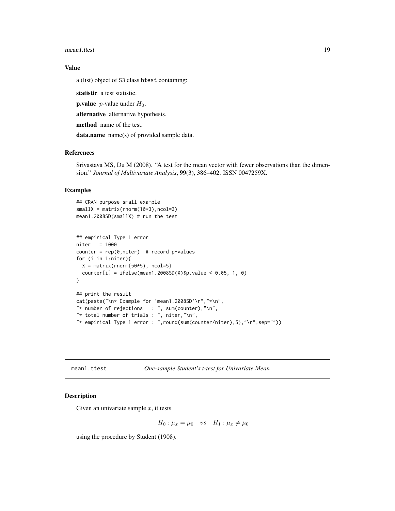<span id="page-18-0"></span>mean1.ttest 19

## Value

a (list) object of S3 class htest containing:

statistic a test statistic.

**p.value** *p*-value under  $H_0$ .

alternative alternative hypothesis.

method name of the test.

data.name name(s) of provided sample data.

## References

Srivastava MS, Du M (2008). "A test for the mean vector with fewer observations than the dimension." *Journal of Multivariate Analysis*, 99(3), 386–402. ISSN 0047259X.

## Examples

```
## CRAN-purpose small example
smallX = matrix(rnorm(10*3), ncol=3)mean1.2008SD(smallX) # run the test
## empirical Type 1 error
niter = 1000
counter = rep(0,niter) # record p-values
for (i in 1:niter){
  X = matrix(rnorm(50*5), ncol=5)counter[i] = ifelse(mean1.2008SD(X)$p.value < 0.05, 1, 0)
}
## print the result
cat(paste("\n* Example for 'mean1.2008SD'\n","*\n",
"* number of rejections : ", sum(counter), "\n",
"* total number of trials : ", niter,"\n",
```
"\* empirical Type 1 error : ",round(sum(counter/niter),5),"\n",sep=""))

mean1.ttest *One-sample Student's t-test for Univariate Mean*

## Description

Given an univariate sample  $x$ , it tests

$$
H_0: \mu_x = \mu_0 \quad vs \quad H_1: \mu_x \neq \mu_0
$$

using the procedure by Student (1908).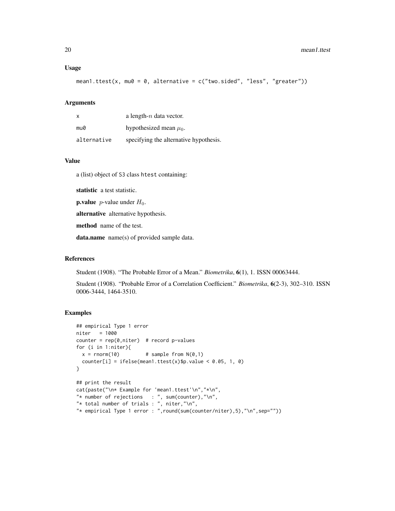#### Usage

```
mean1.ttest(x, mu0 = 0, alternative = c("two-sided", "less", "greater")
```
## Arguments

| x           | a length- $n$ data vector.             |
|-------------|----------------------------------------|
| mu0         | hypothesized mean $\mu_0$ .            |
| alternative | specifying the alternative hypothesis. |

## Value

a (list) object of S3 class htest containing:

statistic a test statistic.

**p.value** *p*-value under  $H_0$ .

alternative alternative hypothesis.

method name of the test.

data.name name(s) of provided sample data.

#### References

Student (1908). "The Probable Error of a Mean." *Biometrika*, 6(1), 1. ISSN 00063444.

Student (1908). "Probable Error of a Correlation Coefficient." *Biometrika*, 6(2-3), 302–310. ISSN 0006-3444, 1464-3510.

```
## empirical Type 1 error
niter = 1000
counter = rep(0,niter) # record p-values
for (i in 1:niter){
 x = rnorm(10) # sample from N(0,1)counter[i] = ifelse(mean1.ttest(x)$p.value < 0.05, 1, 0)
}
## print the result
cat(paste("\n* Example for 'mean1.ttest'\n","*\n",
"* number of rejections : ", sum(counter), "\n",
"* total number of trials : ", niter,"\n",
"* empirical Type 1 error : ",round(sum(counter/niter),5),"\n",sep=""))
```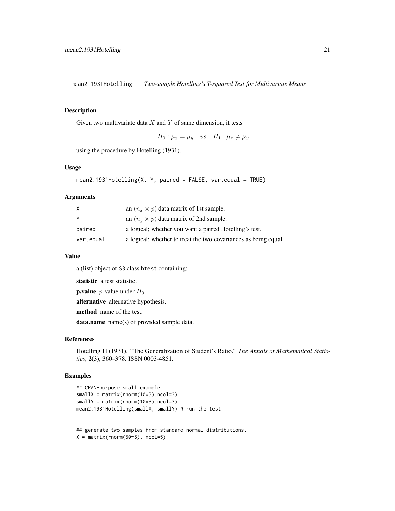<span id="page-20-0"></span>mean2.1931Hotelling *Two-sample Hotelling's T-squared Test for Multivariate Means*

#### Description

Given two multivariate data  $X$  and  $Y$  of same dimension, it tests

 $H_0: \mu_x = \mu_y$  vs  $H_1: \mu_x \neq \mu_y$ 

using the procedure by Hotelling (1931).

## Usage

```
mean2.1931Hotelling(X, Y, paired = FALSE, var.equal = TRUE)
```
#### Arguments

| X         | an $(n_x \times p)$ data matrix of 1st sample.                  |
|-----------|-----------------------------------------------------------------|
| Y         | an $(n_u \times p)$ data matrix of 2nd sample.                  |
| paired    | a logical; whether you want a paired Hotelling's test.          |
| var.equal | a logical; whether to treat the two covariances as being equal. |

#### Value

a (list) object of S3 class htest containing:

statistic a test statistic.

**p.value** *p*-value under  $H_0$ .

alternative alternative hypothesis.

method name of the test.

data.name name(s) of provided sample data.

## References

Hotelling H (1931). "The Generalization of Student's Ratio." *The Annals of Mathematical Statistics*, 2(3), 360–378. ISSN 0003-4851.

## Examples

```
## CRAN-purpose small example
smallx = matrix(rnorm(10*3), ncol=3)smallY = matrix(rnorm(10*3), ncol=3)mean2.1931Hotelling(smallX, smallY) # run the test
```
## generate two samples from standard normal distributions.  $X = matrix(rnorm(50*5), ncol=5)$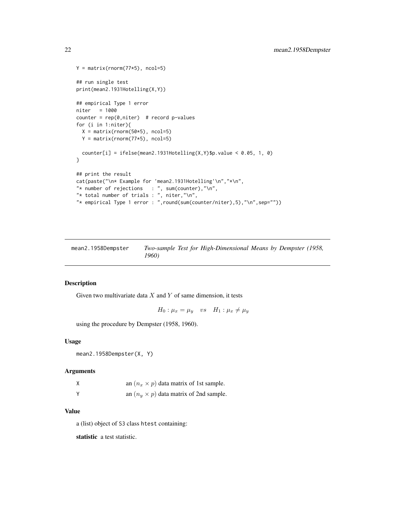```
Y = matrix(rnorm(77*5), ncol=5)## run single test
print(mean2.1931Hotelling(X,Y))
## empirical Type 1 error
niter = 1000
counter = rep(0,niter) # record p-values
for (i in 1:niter){
  X = matrix(rnorm(50*5), ncol=5)Y = matrix(rnorm(77*5), ncol=5)counter[i] = ifelse(mean2.1931Hotelling(X,Y)\ p.value < 0.05, 1, 0)
}
## print the result
cat(paste("\n* Example for 'mean2.1931Hotelling'\n","*\n",
"* number of rejections : ", sum(counter), "\n\cdot",
"* total number of trials : ", niter,"\n",
"* empirical Type 1 error : ",round(sum(counter/niter),5),"\n",sep=""))
```
mean2.1958Dempster *Two-sample Test for High-Dimensional Means by Dempster (1958, 1960)*

## Description

Given two multivariate data  $X$  and  $Y$  of same dimension, it tests

 $H_0: \mu_x = \mu_y$  vs  $H_1: \mu_x \neq \mu_y$ 

using the procedure by Dempster (1958, 1960).

#### Usage

```
mean2.1958Dempster(X, Y)
```
#### Arguments

| χ | an $(n_x \times p)$ data matrix of 1st sample. |
|---|------------------------------------------------|
|   | an $(n_u \times p)$ data matrix of 2nd sample. |

## Value

a (list) object of S3 class htest containing:

statistic a test statistic.

<span id="page-21-0"></span>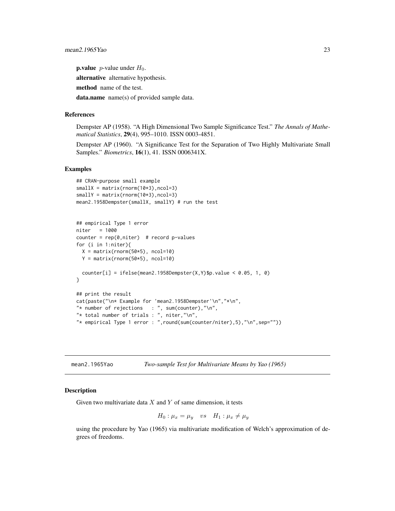<span id="page-22-0"></span>**p.value** *p*-value under  $H_0$ .

alternative alternative hypothesis.

method name of the test.

data.name name(s) of provided sample data.

## References

Dempster AP (1958). "A High Dimensional Two Sample Significance Test." *The Annals of Mathematical Statistics*, 29(4), 995–1010. ISSN 0003-4851.

Dempster AP (1960). "A Significance Test for the Separation of Two Highly Multivariate Small Samples." *Biometrics*, 16(1), 41. ISSN 0006341X.

## Examples

```
## CRAN-purpose small example
smallX = matrix(rnorm(10*3),ncol=3)
smallY = matrix(rnorm(10*3), ncol=3)mean2.1958Dempster(smallX, smallY) # run the test
## empirical Type 1 error
niter = 1000
counter = rep(0,niter) # record p-values
for (i in 1:niter){
  X = matrix(rnorm(50*5), ncol=10)Y = matrix(rnorm(50*5), ncol=10)counter[i] = ifelse(mean2.1958Dempster(X,Y)\p.value < 0.05, 1, 0)
}
## print the result
cat(paste("\n* Example for 'mean2.1958Dempster'\n","*\n",
"* number of rejections : ", sum(counter), "\n",
"* total number of trials : ", niter,"\n",
"* empirical Type 1 error : ",round(sum(counter/niter),5),"\n",sep=""))
```
mean2.1965Yao *Two-sample Test for Multivariate Means by Yao (1965)*

#### Description

Given two multivariate data  $X$  and  $Y$  of same dimension, it tests

$$
H_0: \mu_x = \mu_y \quad vs \quad H_1: \mu_x \neq \mu_y
$$

using the procedure by Yao (1965) via multivariate modification of Welch's approximation of degrees of freedoms.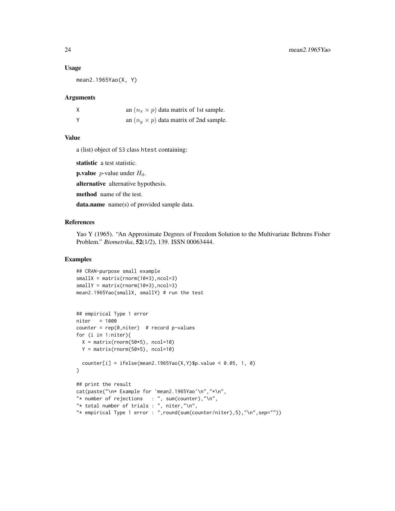#### Usage

mean2.1965Yao(X, Y)

#### Arguments

|   | an $(n_x \times p)$ data matrix of 1st sample. |
|---|------------------------------------------------|
| v | an $(n_u \times p)$ data matrix of 2nd sample. |

#### Value

a (list) object of S3 class htest containing:

statistic a test statistic.

**p.value** *p*-value under  $H_0$ .

alternative alternative hypothesis.

method name of the test.

data.name name(s) of provided sample data.

## References

Yao Y (1965). "An Approximate Degrees of Freedom Solution to the Multivariate Behrens Fisher Problem." *Biometrika*, 52(1/2), 139. ISSN 00063444.

```
## CRAN-purpose small example
smallx = matrix(rnorm(10*3), ncol=3)smallY = matrix(rnorm(10*3), ncol=3)mean2.1965Yao(smallX, smallY) # run the test
## empirical Type 1 error
niter = 1000
counter = rep(0,niter) # record p-values
for (i in 1:niter){
 X = matrix(rnorm(50*5), ncol=10)Y = matrix(rnorm(50*5), ncol=10)counter[i] = ifelse(mean2.1965Yao(X,Y)$p.value < 0.05, 1, 0)
}
## print the result
cat(paste("\n* Example for 'mean2.1965Yao'\n","*\n",
"* number of rejections : ", sum(counter),"\n",
"* total number of trials : ", niter,"\n",
"* empirical Type 1 error : ",round(sum(counter/niter),5),"\n",sep=""))
```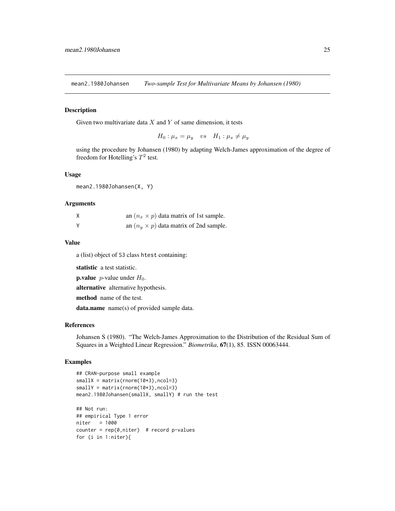<span id="page-24-0"></span>mean2.1980Johansen *Two-sample Test for Multivariate Means by Johansen (1980)*

#### Description

Given two multivariate data  $X$  and  $Y$  of same dimension, it tests

 $H_0: \mu_x = \mu_y$  vs  $H_1: \mu_x \neq \mu_y$ 

using the procedure by Johansen (1980) by adapting Welch-James approximation of the degree of freedom for Hotelling's  $T^2$  test.

#### Usage

mean2.1980Johansen(X, Y)

#### Arguments

| X | an $(n_x \times p)$ data matrix of 1st sample. |
|---|------------------------------------------------|
| Y | an $(n_u \times p)$ data matrix of 2nd sample. |

#### Value

a (list) object of S3 class htest containing:

statistic a test statistic.

**p.value** *p*-value under  $H_0$ .

alternative alternative hypothesis.

method name of the test.

data.name name(s) of provided sample data.

#### References

Johansen S (1980). "The Welch-James Approximation to the Distribution of the Residual Sum of Squares in a Weighted Linear Regression." *Biometrika*, 67(1), 85. ISSN 00063444.

```
## CRAN-purpose small example
smallx = matrix(rnorm(10*3), ncol=3)smallY = matrix( ^{norm(10*3)}, ^{norm(10*3)})mean2.1980Johansen(smallX, smallY) # run the test
## Not run:
## empirical Type 1 error
niter = 1000
counter = rep(0,niter) # record p-values
for (i in 1:niter){
```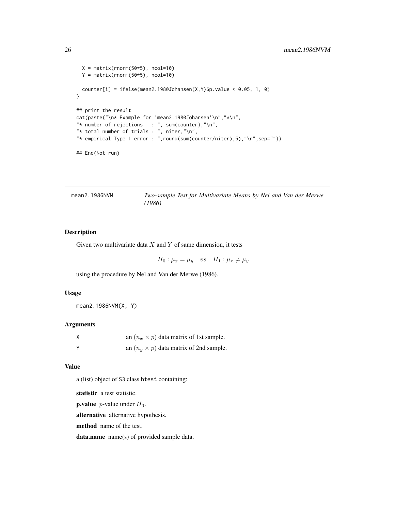```
X = matrix(rnorm(50*5), ncol=10)Y = matrix(rnorm(50*5), ncol=10)counter[i] = ifelse(mean2.1980Johansen(X,Y)$p.value < 0.05, 1, 0)
}
## print the result
cat(paste("\n* Example for 'mean2.1980Johansen'\n","*\n",
"* number of rejections : ", sum(counter), "\n",
"* total number of trials : ", niter, "\n",
"* empirical Type 1 error : ",round(sum(counter/niter),5),"\n",sep=""))
## End(Not run)
```

| mean2.1986NVM | Two-sample Test for Multivariate Means by Nel and Van der Merwe |  |  |  |  |  |
|---------------|-----------------------------------------------------------------|--|--|--|--|--|
|               | (1986)                                                          |  |  |  |  |  |

## Description

Given two multivariate data  $X$  and  $Y$  of same dimension, it tests

 $H_0: \mu_x = \mu_y$  vs  $H_1: \mu_x \neq \mu_y$ 

using the procedure by Nel and Van der Merwe (1986).

#### Usage

mean2.1986NVM(X, Y)

## Arguments

| an $(n_x \times p)$ data matrix of 1st sample. |
|------------------------------------------------|
| an $(n_u \times p)$ data matrix of 2nd sample. |

#### Value

a (list) object of S3 class htest containing:

statistic a test statistic.

**p.value** *p*-value under  $H_0$ .

alternative alternative hypothesis.

method name of the test.

data.name name(s) of provided sample data.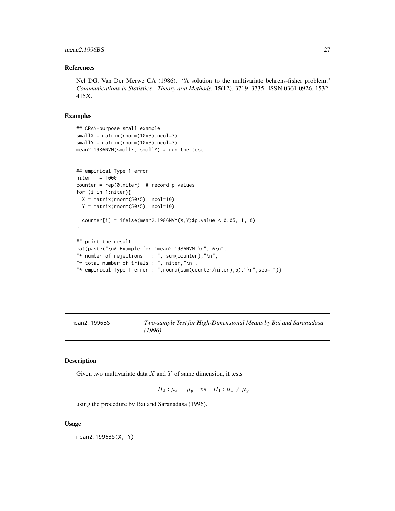## <span id="page-26-0"></span>mean2.1996BS 27

#### References

Nel DG, Van Der Merwe CA (1986). "A solution to the multivariate behrens-fisher problem." *Communications in Statistics - Theory and Methods*, 15(12), 3719–3735. ISSN 0361-0926, 1532- 415X.

## Examples

```
## CRAN-purpose small example
smallX = matrix(rnorm(10*3), ncol=3)smallY = matrix(rnorm(10*3),ncol=3)mean2.1986NVM(smallX, smallY) # run the test
## empirical Type 1 error
niter = 1000
counter = rep(0,niter) # record p-values
for (i in 1:niter){
 X = matrix(rnorm(50*5), ncol=10)Y = matrix(rnorm(50*5), ncol=10)counter[i] = ifelse(mean2.1986NVM(X,Y)$p.value < 0.05, 1, 0)
}
## print the result
cat(paste("\n* Example for 'mean2.1986NVM'\n","*\n",
"* number of rejections : ", sum(counter), "\n",
"* total number of trials : ", niter,"\n",
"* empirical Type 1 error : ",round(sum(counter/niter),5),"\n",sep=""))
```
mean2.1996BS *Two-sample Test for High-Dimensional Means by Bai and Saranadasa (1996)*

#### Description

Given two multivariate data  $X$  and  $Y$  of same dimension, it tests

 $H_0: \mu_x = \mu_y$  vs  $H_1: \mu_x \neq \mu_y$ 

using the procedure by Bai and Saranadasa (1996).

#### Usage

mean2.1996BS(X, Y)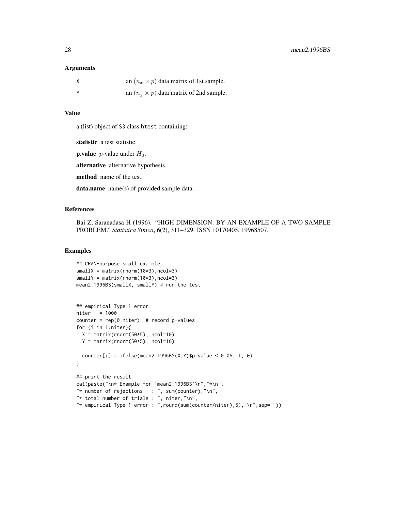#### Arguments

| X        | an $(n_x \times p)$ data matrix of 1st sample. |
|----------|------------------------------------------------|
| <b>Y</b> | an $(n_u \times p)$ data matrix of 2nd sample. |

## Value

a (list) object of S3 class htest containing:

statistic a test statistic.

**p.value** *p*-value under  $H_0$ .

alternative alternative hypothesis.

method name of the test.

data.name name(s) of provided sample data.

## References

Bai Z, Saranadasa H (1996). "HIGH DIMENSION: BY AN EXAMPLE OF A TWO SAMPLE PROBLEM." *Statistica Sinica*, 6(2), 311–329. ISSN 10170405, 19968507.

```
## CRAN-purpose small example
smallX = matrix(rnorm(10*3), ncol=3)smallY = matrix(rnorm(10*3),ncol=3)mean2.1996BS(smallX, smallY) # run the test
## empirical Type 1 error
niter = 1000
counter = rep(0,niter) # record p-values
for (i in 1:niter){
 X = matrix(rnorm(50*5), ncol=10)Y = matrix(rnorm(50*5), ncol=10)counter[i] = ifelse(mean2.1996BS(X,Y)$p.value < 0.05, 1, 0)
}
## print the result
cat(paste("\n* Example for 'mean2.1996BS'\n","*\n",
"* number of rejections : ", sum(counter), "\n",
"* total number of trials : ", niter,"\n",
"* empirical Type 1 error : ",round(sum(counter/niter),5),"\n",sep=""))
```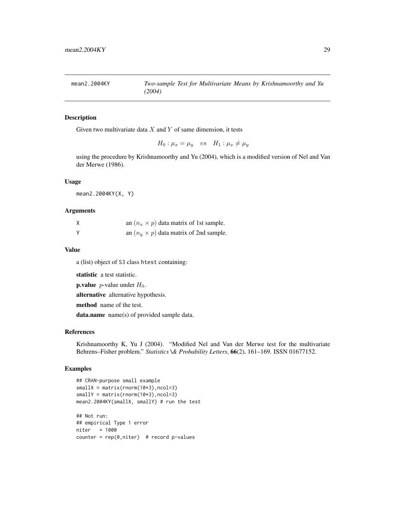<span id="page-28-0"></span>

## Description

Given two multivariate data  $X$  and  $Y$  of same dimension, it tests

$$
H_0: \mu_x = \mu_y \quad vs \quad H_1: \mu_x \neq \mu_y
$$

using the procedure by Krishnamoorthy and Yu (2004), which is a modified version of Nel and Van der Merwe (1986).

## Usage

mean2.2004KY(X, Y)

#### Arguments

| an $(n_x \times p)$ data matrix of 1st sample. |
|------------------------------------------------|
| an $(n_u \times p)$ data matrix of 2nd sample. |

#### Value

a (list) object of S3 class htest containing:

statistic a test statistic.

**p.value** *p*-value under  $H_0$ .

alternative alternative hypothesis.

method name of the test.

data.name name(s) of provided sample data.

## References

Krishnamoorthy K, Yu J (2004). "Modified Nel and Van der Merwe test for the multivariate Behrens–Fisher problem." *Statistics \& Probability Letters*, 66(2), 161–169. ISSN 01677152.

```
## CRAN-purpose small example
smallx = matrix(rnorm(10*3),ncol=3)smallY = matrix(rnorm(10*3), ncol=3)mean2.2004KY(smallX, smallY) # run the test
## Not run:
## empirical Type 1 error
niter = 1000
counter = rep(0,niter) # record p-values
```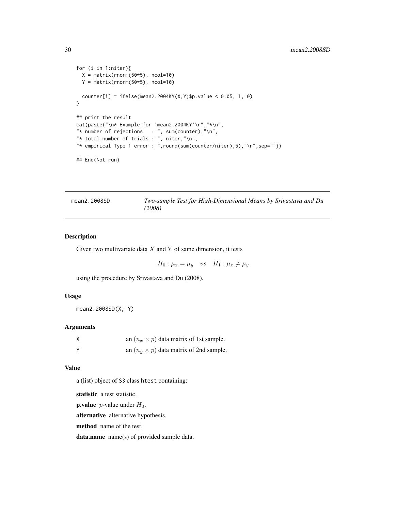```
for (i in 1:niter){
  X = matrix(rnorm(50*5), ncol=10)Y = matrix(rnorm(50*5), ncol=10)
  counter[i] = ifelse(mean2.2004KY(X, Y)$p.value < 0.05, 1, 0)
}
## print the result
cat(paste("\n* Example for 'mean2.2004KY'\n","*\n",
"* number of rejections : ", sum(counter), "\n",
"* total number of trials : ", niter,"\n",
"* empirical Type 1 error : ",round(sum(counter/niter),5),"\n",sep=""))
```

```
## End(Not run)
```
mean2.2008SD *Two-sample Test for High-Dimensional Means by Srivastava and Du (2008)*

#### Description

Given two multivariate data  $X$  and  $Y$  of same dimension, it tests

 $H_0: \mu_x = \mu_y$  vs  $H_1: \mu_x \neq \mu_y$ 

using the procedure by Srivastava and Du (2008).

#### Usage

mean2.2008SD(X, Y)

#### Arguments

| Χ | an $(n_x \times p)$ data matrix of 1st sample. |
|---|------------------------------------------------|
| Y | an $(n_u \times p)$ data matrix of 2nd sample. |

#### Value

a (list) object of S3 class htest containing:

statistic a test statistic.

**p.value** *p*-value under  $H_0$ .

alternative alternative hypothesis.

method name of the test.

data.name name(s) of provided sample data.

<span id="page-29-0"></span>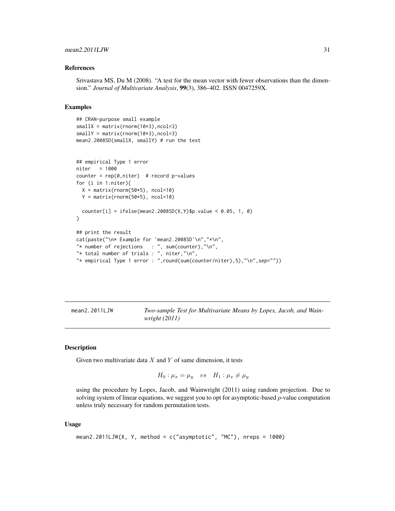## <span id="page-30-0"></span>mean2.2011LJW 31

#### References

Srivastava MS, Du M (2008). "A test for the mean vector with fewer observations than the dimension." *Journal of Multivariate Analysis*, 99(3), 386–402. ISSN 0047259X.

#### Examples

```
## CRAN-purpose small example
smallX = matrix(rnorm(10*3),ncol=3)smallY = matrix(rnorm(10*3), ncol=3)mean2.2008SD(smallX, smallY) # run the test
## empirical Type 1 error
niter = 1000
counter = rep(0,niter) # record p-values
for (i in 1:niter){
 X = matrix(rnorm(50*5), ncol=10)Y = matrix(rnorm(50*5), ncol=10)counter[i] = ifelse(mean2.2008SD(X,Y)$p.value < 0.05, 1, 0)
}
## print the result
cat(paste("\n* Example for 'mean2.2008SD'\n","*\n",
"* number of rejections : ", sum(counter), "\n",
"* total number of trials : ", niter,"\n",
"* empirical Type 1 error : ",round(sum(counter/niter),5),"\n",sep=""))
```

| mean2.2011LJW | Two-sample Test for Multivariate Means by Lopes, Jacob, and Wain- |
|---------------|-------------------------------------------------------------------|
|               | wright $(2011)$                                                   |

## Description

Given two multivariate data  $X$  and  $Y$  of same dimension, it tests

$$
H_0: \mu_x = \mu_y \quad vs \quad H_1: \mu_x \neq \mu_y
$$

using the procedure by Lopes, Jacob, and Wainwright (2011) using random projection. Due to solving system of linear equations, we suggest you to opt for asymptotic-based *p*-value computation unless truly necessary for random permutation tests.

#### Usage

```
mean2.2011LJW(X, Y, method = c("asymptotic", "MC"), nreps = 1000)
```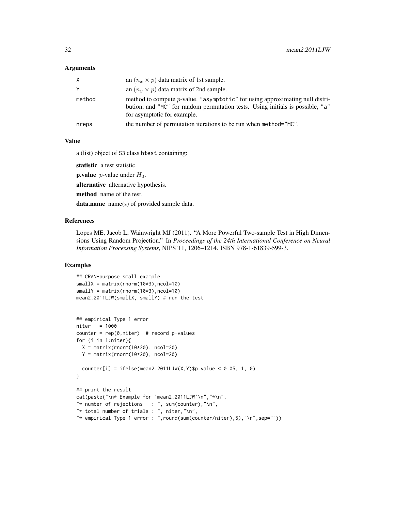## Arguments

| X      | an $(n_x \times p)$ data matrix of 1st sample.                                                                                                                                                |
|--------|-----------------------------------------------------------------------------------------------------------------------------------------------------------------------------------------------|
| Y      | an $(n_u \times p)$ data matrix of 2nd sample.                                                                                                                                                |
| method | method to compute p-value. "asymptotic" for using approximating null distri-<br>bution, and "MC" for random permutation tests. Using initials is possible, "a"<br>for asymptotic for example. |
| nreps  | the number of permutation iterations to be run when method="MC".                                                                                                                              |
|        |                                                                                                                                                                                               |

## Value

a (list) object of S3 class htest containing:

statistic a test statistic.

**p.value** *p*-value under  $H_0$ .

alternative alternative hypothesis.

method name of the test.

data.name name(s) of provided sample data.

## References

Lopes ME, Jacob L, Wainwright MJ (2011). "A More Powerful Two-sample Test in High Dimensions Using Random Projection." In *Proceedings of the 24th International Conference on Neural Information Processing Systems*, NIPS'11, 1206–1214. ISBN 978-1-61839-599-3.

```
## CRAN-purpose small example
smallX = matrix(rnorm(10*3), ncol=10)
smallY = matrix(rnorm(10*3), ncol=10)mean2.2011LJW(smallX, smallY) # run the test
## empirical Type 1 error
niter = 1000
counter = rep(0,niter) # record p-values
for (i in 1:niter){
  X = matrix(rnorm(10*20), ncol=20)Y = matrix(rnorm(10*20), ncol=20)counter[i] = ifelse(mean2.2011LJW(X,Y)\p.value < 0.05, 1, 0)
}
## print the result
cat(paste("\n* Example for 'mean2.2011LJW'\n","*\n",
"* number of rejections : ", sum(counter), "\n",
"* total number of trials : ", niter,"\n",
"* empirical Type 1 error : ",round(sum(counter/niter),5),"\n",sep=""))
```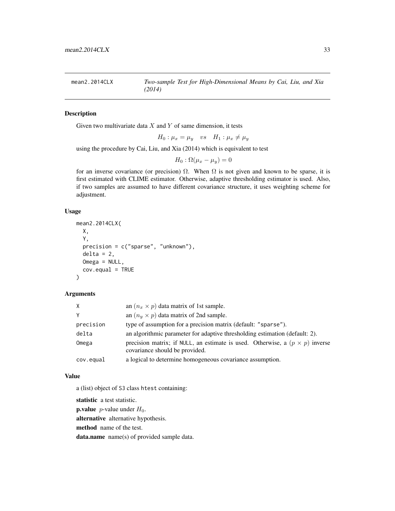<span id="page-32-0"></span>mean2.2014CLX *Two-sample Test for High-Dimensional Means by Cai, Liu, and Xia (2014)*

## Description

Given two multivariate data  $X$  and  $Y$  of same dimension, it tests

$$
H_0: \mu_x = \mu_y \quad vs \quad H_1: \mu_x \neq \mu_y
$$

using the procedure by Cai, Liu, and Xia (2014) which is equivalent to test

$$
H_0: \Omega(\mu_x - \mu_y) = 0
$$

for an inverse covariance (or precision)  $\Omega$ . When  $\Omega$  is not given and known to be sparse, it is first estimated with CLIME estimator. Otherwise, adaptive thresholding estimator is used. Also, if two samples are assumed to have different covariance structure, it uses weighting scheme for adjustment.

#### Usage

```
mean2.2014CLX(
  X,
  Y,
  precision = c("sparse", "unknown"),
  delta = 2,
  Omega = NULL,
  cov.equal = TRUE
)
```
## Arguments

| X         | an $(n_x \times p)$ data matrix of 1st sample.                                                                        |
|-----------|-----------------------------------------------------------------------------------------------------------------------|
| Υ         | an $(n_u \times p)$ data matrix of 2nd sample.                                                                        |
| precision | type of assumption for a precision matrix (default: "sparse").                                                        |
| delta     | an algorithmic parameter for adaptive thresholding estimation (default: 2).                                           |
| Omega     | precision matrix; if NULL, an estimate is used. Otherwise, a $(p \times p)$ inverse<br>covariance should be provided. |
| cov.equal | a logical to determine homogeneous covariance assumption.                                                             |

#### Value

a (list) object of S3 class htest containing:

statistic a test statistic.

**p.value** *p*-value under  $H_0$ .

alternative alternative hypothesis.

method name of the test.

data.name name(s) of provided sample data.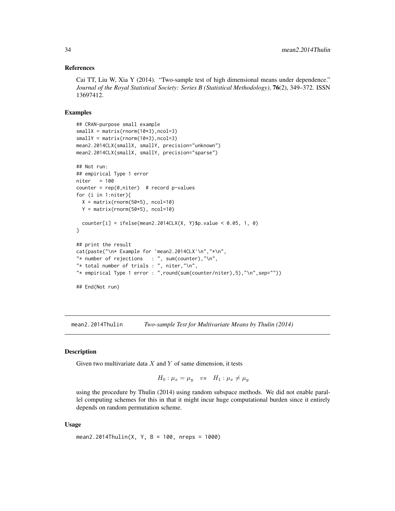#### <span id="page-33-0"></span>References

Cai TT, Liu W, Xia Y (2014). "Two-sample test of high dimensional means under dependence." *Journal of the Royal Statistical Society: Series B (Statistical Methodology)*, 76(2), 349–372. ISSN 13697412.

#### Examples

```
## CRAN-purpose small example
smallx = matrix(rnorm(10*3), ncol=3)smallY = matrix(rnorm(10*3), ncol=3)mean2.2014CLX(smallX, smallY, precision="unknown")
mean2.2014CLX(smallX, smallY, precision="sparse")
## Not run:
## empirical Type 1 error
niter = 100
counter = rep(\emptyset, niter) # record p-values
for (i in 1:niter){
 X = matrix(rnorm(50*5), ncol=10)Y = matrix(rnorm(50*5), ncol=10)counter[i] = ifelse(mean2.2014CLX(X, Y)$p.value < 0.05, 1, 0)
}
## print the result
cat(paste("\n* Example for 'mean2.2014CLX'\n","*\n",
"* number of rejections : ", sum(counter), "\n",
"* total number of trials : ", niter, "\n",
"* empirical Type 1 error : ",round(sum(counter/niter),5),"\n",sep=""))
## End(Not run)
```
mean2.2014Thulin *Two-sample Test for Multivariate Means by Thulin (2014)*

#### **Description**

Given two multivariate data  $X$  and  $Y$  of same dimension, it tests

 $H_0: \mu_x = \mu_y$  vs  $H_1: \mu_x \neq \mu_y$ 

using the procedure by Thulin (2014) using random subspace methods. We did not enable parallel computing schemes for this in that it might incur huge computational burden since it entirely depends on random permutation scheme.

#### Usage

```
mean2.2014Thulin(X, Y, B = 100, nreps = 1000)
```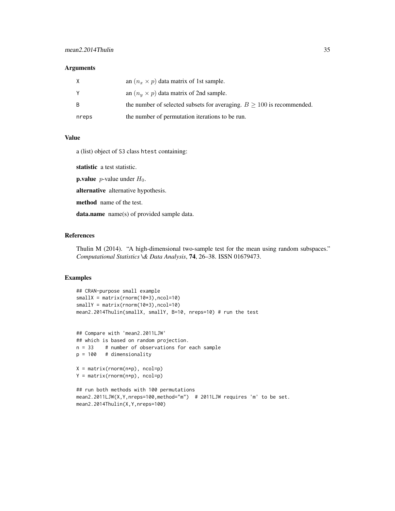#### Arguments

| X     | an $(n_x \times p)$ data matrix of 1st sample.                            |
|-------|---------------------------------------------------------------------------|
| Y     | an $(n_u \times p)$ data matrix of 2nd sample.                            |
| -B    | the number of selected subsets for averaging. $B \ge 100$ is recommended. |
| nreps | the number of permutation iterations to be run.                           |

#### Value

a (list) object of S3 class htest containing:

statistic a test statistic.

**p.value** *p*-value under  $H_0$ .

alternative alternative hypothesis.

method name of the test.

data.name name(s) of provided sample data.

## References

Thulin M (2014). "A high-dimensional two-sample test for the mean using random subspaces." *Computational Statistics \& Data Analysis*, 74, 26–38. ISSN 01679473.

#### Examples

```
## CRAN-purpose small example
smallx = matrix(rnorm(10*3), ncol=10)smallY = matrix(rnorm(10*3), ncol=10)mean2.2014Thulin(smallX, smallY, B=10, nreps=10) # run the test
```

```
## Compare with 'mean2.2011LJW'
## which is based on random projection.
n = 33 # number of observations for each sample
p = 100 # dimensionality
```
X = matrix(rnorm(n\*p), ncol=p) Y = matrix(rnorm(n\*p), ncol=p)

```
## run both methods with 100 permutations
mean2.2011LJW(X,Y,nreps=100,method="m") # 2011LJW requires 'm' to be set.
mean2.2014Thulin(X,Y,nreps=100)
```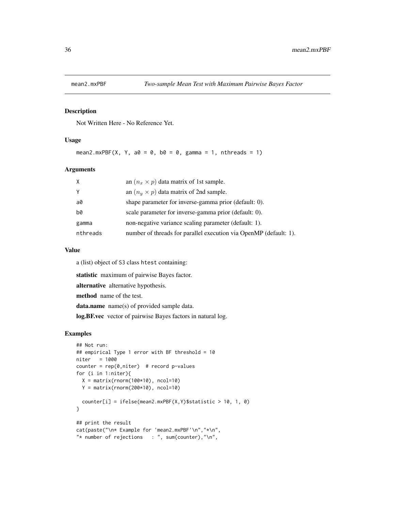<span id="page-35-0"></span>

## Description

Not Written Here - No Reference Yet.

## Usage

```
mean2.mxPBF(X, Y, a0 = 0, b0 = 0, gamma = 1, nthreads = 1)
```
## Arguments

| $\times$ | an $(n_x \times p)$ data matrix of 1st sample.                    |
|----------|-------------------------------------------------------------------|
| Y        | an $(n_u \times p)$ data matrix of 2nd sample.                    |
| a0       | shape parameter for inverse-gamma prior (default: 0).             |
| b0       | scale parameter for inverse-gamma prior (default: 0).             |
| gamma    | non-negative variance scaling parameter (default: 1).             |
| nthreads | number of threads for parallel execution via OpenMP (default: 1). |

## Value

a (list) object of S3 class htest containing:

statistic maximum of pairwise Bayes factor.

alternative alternative hypothesis.

method name of the test.

data.name name(s) of provided sample data.

log.BF.vec vector of pairwise Bayes factors in natural log.

```
## Not run:
## empirical Type 1 error with BF threshold = 10
niter = 1000
counter = rep(0,niter) # record p-values
for (i in 1:niter){
 X = matrix(rnorm(100*10), ncol=10)Y = matrix(rnorm(200*10), ncol=10)counter[i] = ifelse(mean2.mxPBF(X,Y)$statistic > 10, 1, 0)
}
## print the result
cat(paste("\n* Example for 'mean2.mxPBF'\n","*\n",
"* number of rejections : ", sum(counter), "\n",
```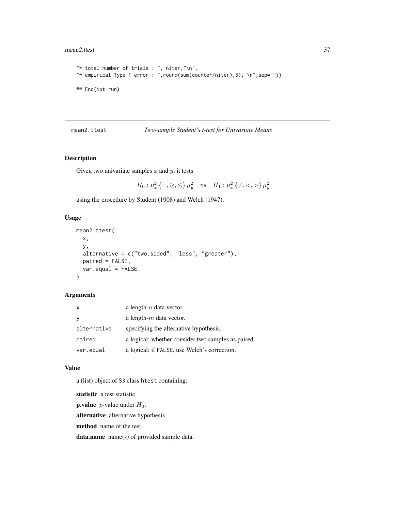### mean2.ttest 37

```
"* total number of trials : ", niter,"\n",
"* empirical Type 1 error : ",round(sum(counter/niter),5),"\n",sep=""))
## End(Not run)
```
# mean2.ttest *Two-sample Student's t-test for Univariate Means*

## Description

Given two univariate samples  $x$  and  $y$ , it tests

 $H_0: \mu_x^2 \left\{=,\geq,\leq\right\} \mu_y^2 \quad vs \quad H_1: \mu_x^2 \left\{\neq,<,\gt\right\} \mu_y^2$ 

using the procedure by Student (1908) and Welch (1947).

## Usage

```
mean2.ttest(
  x,
  y,
  alternative = c("two-sided", "less", "greater"),paired = FALSE,
  var.equal = FALSE
\mathcal{L}
```
# Arguments

| $\mathsf{x}$ | a length- $n$ data vector.                         |
|--------------|----------------------------------------------------|
| <b>V</b>     | a length- $m$ data vector.                         |
| alternative  | specifying the alternative hypothesis.             |
| paired       | a logical; whether consider two samples as paired. |
| var.equal    | a logical; if FALSE, use Welch's correction.       |

#### Value

a (list) object of S3 class htest containing:

statistic a test statistic.

**p.value** *p*-value under  $H_0$ .

alternative alternative hypothesis.

method name of the test.

data.name name(s) of provided sample data.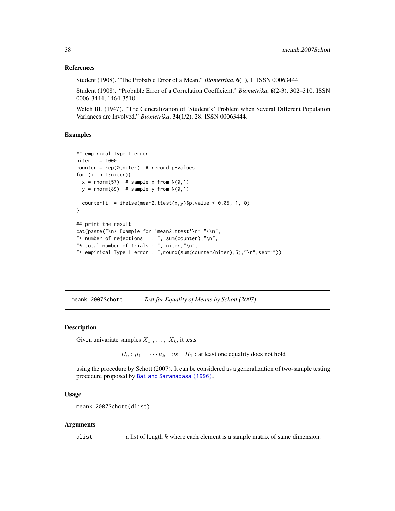### References

Student (1908). "The Probable Error of a Mean." *Biometrika*, 6(1), 1. ISSN 00063444.

Student (1908). "Probable Error of a Correlation Coefficient." *Biometrika*, 6(2-3), 302–310. ISSN 0006-3444, 1464-3510.

Welch BL (1947). "The Generalization of 'Student's' Problem when Several Different Population Variances are Involved." *Biometrika*, 34(1/2), 28. ISSN 00063444.

## Examples

```
## empirical Type 1 error
niter = 1000
counter = rep(0,niter) # record p-values
for (i in 1:niter){
  x = rnorm(57) # sample x from N(0,1)y = rnorm(89) # sample y from N(0,1)counter[i] = ifelse(mean2.ttest(x,y)$p.value < 0.05, 1, 0)
}
## print the result
cat(paste("\n* Example for 'mean2.ttest'\n","*\n",
"* number of rejections : ", sum(counter),"\n",
"* total number of trials : ", niter,"\n",
"* empirical Type 1 error : ",round(sum(counter/niter),5),"\n",sep=""))
```
meank.2007Schott *Test for Equality of Means by Schott (2007)*

## Description

Given univariate samples  $X_1, \ldots, X_k$ , it tests

 $H_0: \mu_1 = \cdots \mu_k$  vs  $H_1$ : at least one equality does not hold

using the procedure by Schott (2007). It can be considered as a generalization of two-sample testing procedure proposed by [Bai and Saranadasa \(1996\)](#page-0-0).

### Usage

```
meank.2007Schott(dlist)
```
### Arguments

dlist a list of length k where each element is a sample matrix of same dimension.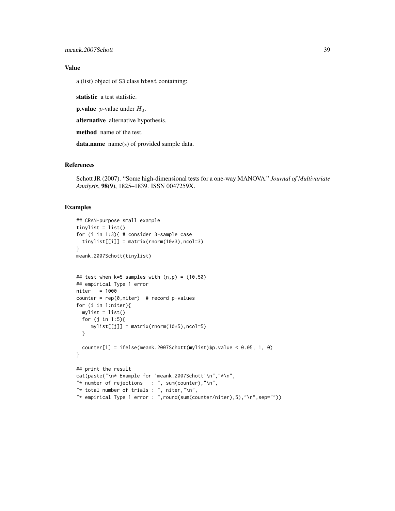# Value

a (list) object of S3 class htest containing:

statistic a test statistic.

**p.value** *p*-value under  $H_0$ .

alternative alternative hypothesis.

method name of the test.

data.name name(s) of provided sample data.

## References

Schott JR (2007). "Some high-dimensional tests for a one-way MANOVA." *Journal of Multivariate Analysis*, 98(9), 1825–1839. ISSN 0047259X.

```
## CRAN-purpose small example
tinylist = list()
for (i in 1:3){ # consider 3-sample case
  tinylist[[i]] = matrix(rnorm(10*3), ncol=3)}
meank.2007Schott(tinylist)
## test when k=5 samples with (n,p) = (10,50)
## empirical Type 1 error
niter = 1000
counter = rep(0,niter) # record p-values
for (i in 1:niter){
 mylist = list()
  for (j in 1:5){
    mylist[[j]] = matrix(rnorm(10*5),ncol=5)
  }
  counter[i] = ifelse(meank.2007Schott(mylist)$p.value < 0.05, 1, 0)
}
## print the result
cat(paste("\n* Example for 'meank.2007Schott'\n","*\n",
"* number of rejections : ", sum(counter), "\n",
"* total number of trials : ", niter, "\n",
"* empirical Type 1 error : ",round(sum(counter/niter),5),"\n",sep=""))
```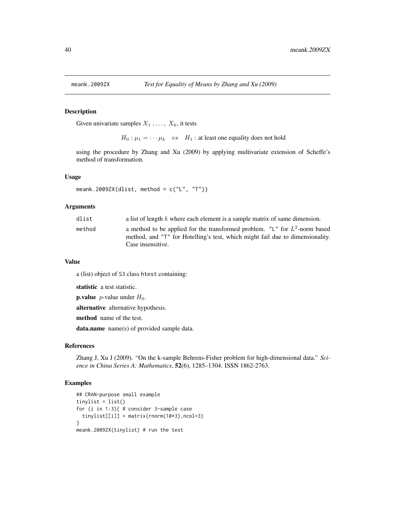Given univariate samples  $X_1, \ldots, X_k$ , it tests

 $H_0: \mu_1 = \cdots \mu_k$  vs  $H_1$ : at least one equality does not hold

using the procedure by Zhang and Xu (2009) by applying multivariate extension of Scheffe's method of transformation.

### Usage

```
meank.2009ZX(dlist, method = c("L", "T"))
```
## Arguments

| dlist  | a list of length $k$ where each element is a sample matrix of same dimension.                                                                                                       |
|--------|-------------------------------------------------------------------------------------------------------------------------------------------------------------------------------------|
| method | a method to be applied for the transformed problem. "L" for $L^2$ -norm based<br>method, and "T" for Hotelling's test, which might fail due to dimensionality.<br>Case insensitive. |

#### Value

a (list) object of S3 class htest containing:

statistic a test statistic.

**p.value** *p*-value under  $H_0$ .

alternative alternative hypothesis.

method name of the test.

data.name name(s) of provided sample data.

## References

Zhang J, Xu J (2009). "On the k-sample Behrens-Fisher problem for high-dimensional data." *Science in China Series A: Mathematics*, 52(6), 1285–1304. ISSN 1862-2763.

```
## CRAN-purpose small example
tinylist = list()
for (i in 1:3){ # consider 3-sample case
  tinylist[[i]] = matrix(rnorm(10*3), ncol=3)}
meank.2009ZX(tinylist) # run the test
```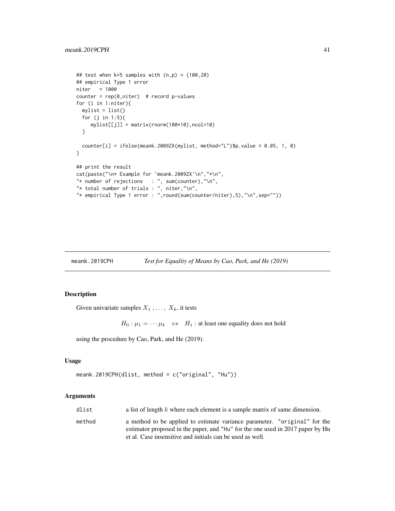```
## test when k=5 samples with (n,p) = (100,20)## empirical Type 1 error
niter = 1000
counter = rep(0,niter) # record p-values
for (i in 1:niter){
  mylist = list()for (j in 1:5){
     mylist[[j]] = matrix(rnorm(100*10),ncol=10)
  }
  counter[i] = ifelse(meank.2009ZX(mylist, method="L")$p.value < 0.05, 1, 0)
}
## print the result
cat(paste("\n* Example for 'meank.2009ZX'\n","*\n",
"* number of rejections : ", sum(counter), "\n",
"* total number of trials : ", niter,"\n",
"* empirical Type 1 error : ",round(sum(counter/niter),5),"\n",sep=""))
```
meank.2019CPH *Test for Equality of Means by Cao, Park, and He (2019)*

# Description

Given univariate samples  $X_1, \ldots, X_k$ , it tests

 $H_0: \mu_1 = \cdots \mu_k$  vs  $H_1$ : at least one equality does not hold

using the procedure by Cao, Park, and He (2019).

## Usage

```
meank.2019CPH(dlist, method = c("original", "Hu"))
```
## Arguments

| dlist  | a list of length $k$ where each element is a sample matrix of same dimension.                                                                               |
|--------|-------------------------------------------------------------------------------------------------------------------------------------------------------------|
| method | a method to be applied to estimate variance parameter. "original" for the<br>estimator proposed in the paper, and "Hu" for the one used in 2017 paper by Hu |
|        | et al. Case insensitive and initials can be used as well.                                                                                                   |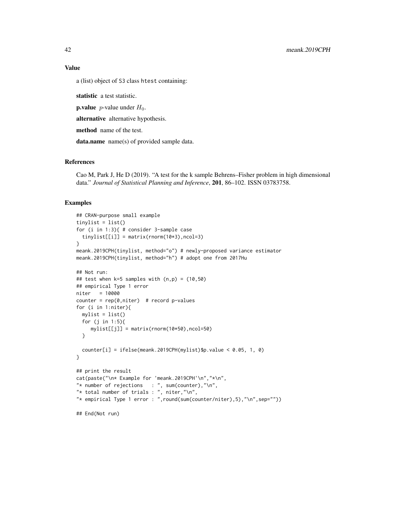# Value

a (list) object of S3 class htest containing:

statistic a test statistic.

**p.value** *p*-value under  $H_0$ .

alternative alternative hypothesis.

method name of the test.

data.name name(s) of provided sample data.

## References

Cao M, Park J, He D (2019). "A test for the k sample Behrens–Fisher problem in high dimensional data." *Journal of Statistical Planning and Inference*, 201, 86–102. ISSN 03783758.

```
## CRAN-purpose small example
tinylist = list()
for (i in 1:3){ # consider 3-sample case
  tinylist[[i]] = matrix(rnorm(10*3), ncol=3)}
meank.2019CPH(tinylist, method="o") # newly-proposed variance estimator
meank.2019CPH(tinylist, method="h") # adopt one from 2017Hu
## Not run:
## test when k=5 samples with (n,p) = (10,50)## empirical Type 1 error
niter = 10000
counter = rep(0,niter) # record p-values
for (i in 1:niter){
 mylist = list()
  for (j in 1:5){
     mylist[[j]] = matrix(rnorm(10*50),ncol=50)
  }
  counter[i] = ifelse(meank.2019CPH(mylist)$p.value < 0.05, 1, 0)
}
## print the result
cat(paste("\n* Example for 'meank.2019CPH'\n","*\n",
"* number of rejections : ", sum(counter), "\n",
"* total number of trials : ", niter, "\n",
"* empirical Type 1 error : ",round(sum(counter/niter),5),"\n",sep=""))
## End(Not run)
```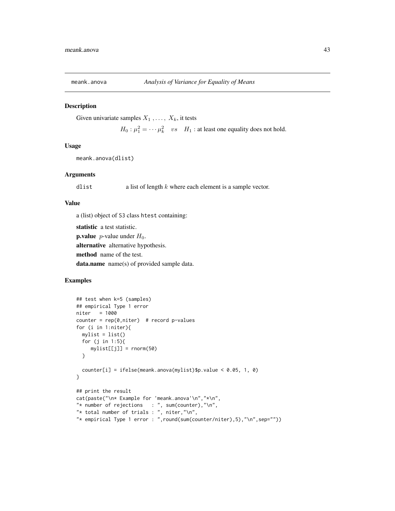Given univariate samples  $X_1, \ldots, X_k$ , it tests

 $H_0: \mu_1^2 = \cdots \mu_k^2$  vs  $H_1$ : at least one equality does not hold.

## Usage

```
meank.anova(dlist)
```
### **Arguments**

dlist a list of length  $k$  where each element is a sample vector.

## Value

a (list) object of S3 class htest containing:

statistic a test statistic. **p.value** *p*-value under  $H_0$ . alternative alternative hypothesis. method name of the test. data.name name(s) of provided sample data.

```
## test when k=5 (samples)
## empirical Type 1 error
niter = 1000
counter = rep(0,niter) # record p-values
for (i in 1:niter){
 mylist = list()
 for (j in 1:5){
    mylist[[j]] = rnorm(50)
 }
 counter[i] = ifelse(meank.anova(mylist)$p.value < 0.05, 1, 0)
}
## print the result
cat(paste("\n* Example for 'meank.anova'\n","*\n",
"* number of rejections : ", sum(counter), "\n",
"* total number of trials : ", niter,"\n",
"* empirical Type 1 error : ",round(sum(counter/niter),5),"\n",sep=""))
```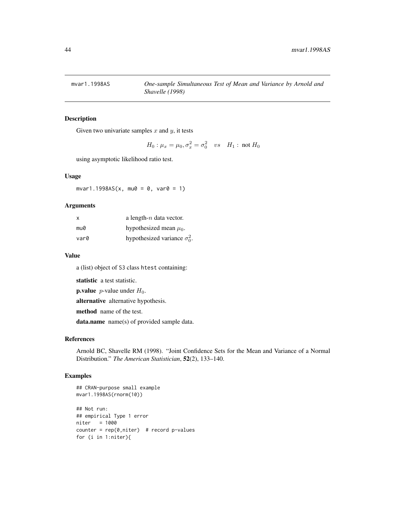Given two univariate samples  $x$  and  $y$ , it tests

$$
H_0: \mu_x = \mu_0, \sigma_x^2 = \sigma_0^2
$$
 vs  $H_1$ : not  $H_0$ 

using asymptotic likelihood ratio test.

### Usage

 $mvar1.1998AS(x, mu0 = 0, var0 = 1)$ 

# Arguments

| X    | a length- $n$ data vector.           |
|------|--------------------------------------|
| mu0  | hypothesized mean $\mu_0$ .          |
| var0 | hypothesized variance $\sigma_0^2$ . |

## Value

a (list) object of S3 class htest containing:

statistic a test statistic.

**p.value** *p*-value under  $H_0$ .

alternative alternative hypothesis.

method name of the test.

data.name name(s) of provided sample data.

## References

Arnold BC, Shavelle RM (1998). "Joint Confidence Sets for the Mean and Variance of a Normal Distribution." *The American Statistician*, 52(2), 133–140.

```
## CRAN-purpose small example
mvar1.1998AS(rnorm(10))
## Not run:
## empirical Type 1 error
niter = 1000
counter = rep(0,niter) # record p-values
for (i in 1:niter){
```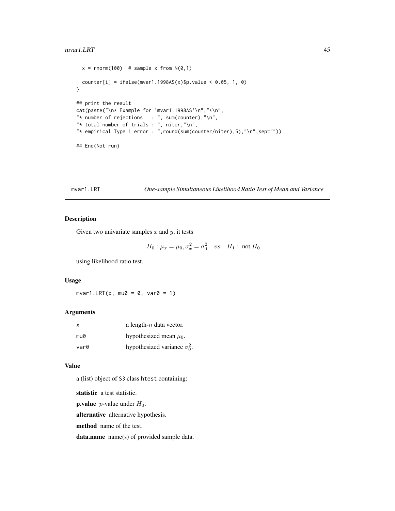### mvar1.LRT 45

```
x = rnorm(100) # sample x from N(0,1)counter[i] = ifelse(mvar1.1998AS(x)$p.value < 0.05, 1, 0)
}
## print the result
cat(paste("\n* Example for 'mvar1.1998AS'\n","*\n",
"* number of rejections : ", sum(counter), "\n",
"* total number of trials : ", niter,"\n",
"* empirical Type 1 error : ",round(sum(counter/niter),5),"\n",sep=""))
## End(Not run)
```
mvar1.LRT *One-sample Simultaneous Likelihood Ratio Test of Mean and Variance*

## Description

Given two univariate samples  $x$  and  $y$ , it tests

$$
H_0: \mu_x = \mu_0, \sigma_x^2 = \sigma_0^2
$$
 vs  $H_1$ : not  $H_0$ 

.

using likelihood ratio test.

# Usage

 $mvar1.LRT(x, mu0 = 0, var0 = 1)$ 

# Arguments

| x    | a length- $n$ data vector.         |
|------|------------------------------------|
| mu0  | hypothesized mean $\mu_0$ .        |
| var0 | hypothesized variance $\sigma_0^2$ |

### Value

a (list) object of S3 class htest containing:

statistic a test statistic.

**p.value** *p*-value under  $H_0$ .

alternative alternative hypothesis.

method name of the test.

data.name name(s) of provided sample data.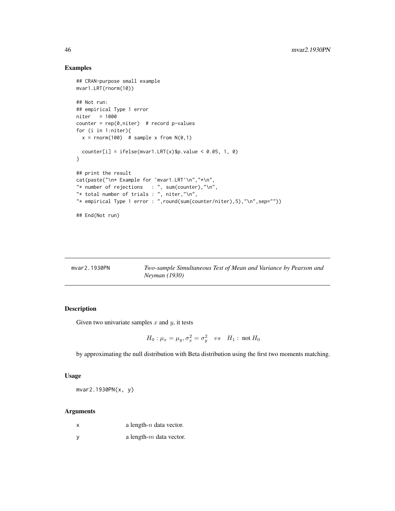## Examples

```
## CRAN-purpose small example
mvar1.LRT(rnorm(10))
## Not run:
## empirical Type 1 error
niter = 1000
counter = rep(0,niter) # record p-values
for (i in 1:niter){
 x = rnorm(100) # sample x from N(0,1)counter[i] = ifelse(mvar1.LRT(x)$p.value < 0.05, 1, 0)
}
## print the result
cat(paste("\n* Example for 'mvar1.LRT'\n","*\n",
"* number of rejections : ", sum(counter), "\n",
"* total number of trials : ", niter,"\n",
"* empirical Type 1 error : ",round(sum(counter/niter),5),"\n",sep=""))
## End(Not run)
```

| mvar2.1930PN | Two-sample Simultaneous Test of Mean and Variance by Pearson and |
|--------------|------------------------------------------------------------------|
|              | <i>Neyman</i> (1930)                                             |

# Description

Given two univariate samples  $x$  and  $y$ , it tests

$$
H_0: \mu_x = \mu_y, \sigma_x^2 = \sigma_y^2 \quad vs \quad H_1: \text{ not } H_0
$$

by approximating the null distribution with Beta distribution using the first two moments matching.

### Usage

mvar2.1930PN(x, y)

# Arguments

| x   | a length- $n$ data vector. |
|-----|----------------------------|
| - V | a length- $m$ data vector. |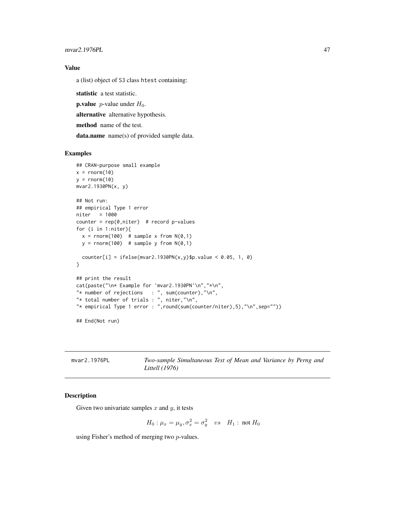mvar2.1976PL 47

## Value

a (list) object of S3 class htest containing:

statistic a test statistic.

**p.value** *p*-value under  $H_0$ .

alternative alternative hypothesis.

method name of the test.

data.name name(s) of provided sample data.

## Examples

```
## CRAN-purpose small example
x = rnorm(10)y = rnorm(10)mvar2.1930PN(x, y)
## Not run:
## empirical Type 1 error
niter = 1000
counter = rep(0,niter) # record p-values
for (i in 1:niter){
  x = rnorm(100) # sample x from N(0,1)y = rnorm(100) # sample y from N(0,1)counter[i] = ifelse(mvar2.1930PN(x,y)$p.value < 0.05, 1, 0)
}
## print the result
cat(paste("\n* Example for 'mvar2.1930PN'\n","*\n",
"* number of rejections : ", sum(counter), "\n",
"* total number of trials : ", niter, "\n",
"* empirical Type 1 error : ",round(sum(counter/niter),5),"\n",sep=""))
## End(Not run)
```
mvar2.1976PL *Two-sample Simultaneous Test of Mean and Variance by Perng and Littell (1976)*

# Description

Given two univariate samples  $x$  and  $y$ , it tests

$$
H_0: \mu_x=\mu_y, \sigma_x^2=\sigma_y^2 \quad vs \quad H_1: \text{ not } H_0
$$

using Fisher's method of merging two p-values.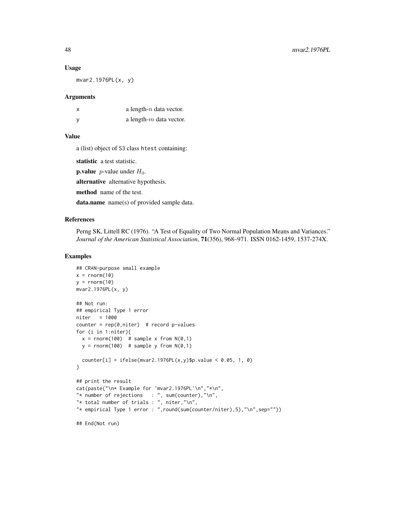### Usage

mvar2.1976PL(x, y)

#### Arguments

| x | a length- $n$ data vector. |
|---|----------------------------|
| ٧ | a length- $m$ data vector. |

### Value

a (list) object of S3 class htest containing:

statistic a test statistic.

**p.value** *p*-value under  $H_0$ .

alternative alternative hypothesis.

method name of the test.

data.name name(s) of provided sample data.

### References

Perng SK, Littell RC (1976). "A Test of Equality of Two Normal Population Means and Variances." *Journal of the American Statistical Association*, 71(356), 968–971. ISSN 0162-1459, 1537-274X.

```
## CRAN-purpose small example
x = rnorm(10)y = rnorm(10)mvar2.1976PL(x, y)
## Not run:
## empirical Type 1 error
niter = 1000
counter = rep(0,niter) # record p-values
for (i in 1:niter){
 x = rnorm(100) # sample x from N(0,1)y = rnorm(100) # sample y from N(0,1)counter[i] = ifelse(mvar2.1976PL(x,y)$p.value < 0.05, 1, 0)
}
## print the result
cat(paste("\n* Example for 'mvar2.1976PL'\n","*\n",
"* number of rejections : ", sum(counter),"\n",
"* total number of trials : ", niter, "\n",
"* empirical Type 1 error : ",round(sum(counter/niter),5),"\n",sep=""))
## End(Not run)
```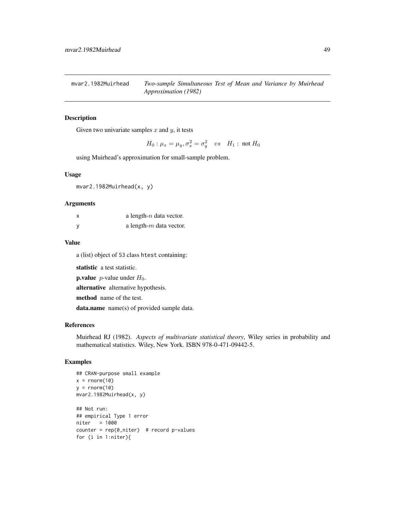mvar2.1982Muirhead *Two-sample Simultaneous Test of Mean and Variance by Muirhead Approximation (1982)*

# Description

Given two univariate samples  $x$  and  $y$ , it tests

 $H_0: \mu_x=\mu_y, \sigma_x^2=\sigma_y^2\quad vs \quad H_1: \text{ not } H_0$ 

using Muirhead's approximation for small-sample problem.

### Usage

mvar2.1982Muirhead(x, y)

### Arguments

| X | a length- $n$ data vector. |
|---|----------------------------|
| v | a length- $m$ data vector. |

### Value

a (list) object of S3 class htest containing:

statistic a test statistic.

**p.value** *p*-value under  $H_0$ .

alternative alternative hypothesis.

method name of the test.

data.name name(s) of provided sample data.

# References

Muirhead RJ (1982). *Aspects of multivariate statistical theory*, Wiley series in probability and mathematical statistics. Wiley, New York. ISBN 978-0-471-09442-5.

```
## CRAN-purpose small example
x = \text{norm}(10)y = rnorm(10)mvar2.1982Muirhead(x, y)
## Not run:
## empirical Type 1 error
niter = 1000
counter = rep(0,niter) # record p-values
for (i in 1:niter){
```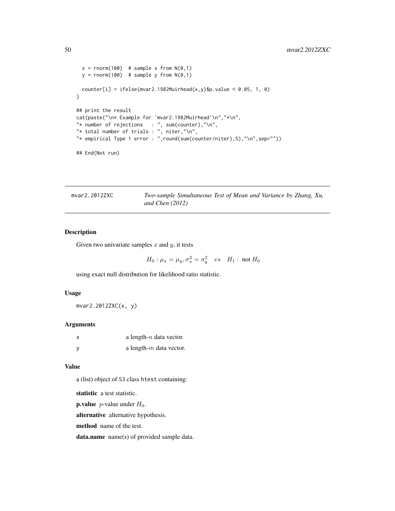```
x = rnorm(100) # sample x from N(0,1)y = rnorm(100) # sample y from N(0,1)counter[i] = ifelse(mvar2.1982Muirhead(x,y)$p.value < 0.05, 1, 0)
}
## print the result
cat(paste("\n* Example for 'mvar2.1982Muirhead'\n","*\n",
"* number of rejections : ", sum(counter), "\n",
"* total number of trials : ", niter, "\n",
"* empirical Type 1 error : ",round(sum(counter/niter),5),"\n",sep=""))
## End(Not run)
```
mvar2.2012ZXC *Two-sample Simultaneous Test of Mean and Variance by Zhang, Xu, and Chen (2012)*

# Description

Given two univariate samples  $x$  and  $y$ , it tests

$$
H_0: \mu_x = \mu_y, \sigma_x^2 = \sigma_y^2 \quad vs \quad H_1: \text{ not } H_0
$$

using exact null distribution for likelihood ratio statistic.

### Usage

mvar2.2012ZXC(x, y)

### Arguments

| X | a length- $n$ data vector. |
|---|----------------------------|
|   | a length- $m$ data vector. |

### Value

a (list) object of S3 class htest containing:

statistic a test statistic.

**p.value** *p*-value under  $H_0$ .

alternative alternative hypothesis.

method name of the test.

data.name name(s) of provided sample data.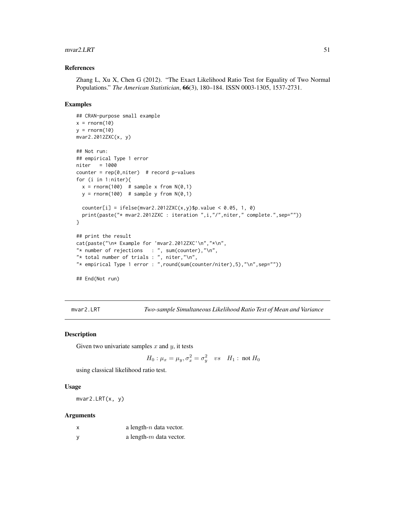### $m\text{var}2.LRT$  51

## References

Zhang L, Xu X, Chen G (2012). "The Exact Likelihood Ratio Test for Equality of Two Normal Populations." *The American Statistician*, 66(3), 180–184. ISSN 0003-1305, 1537-2731.

### Examples

```
## CRAN-purpose small example
x = rnorm(10)y = rnorm(10)mvar2.2012ZXC(x, y)
## Not run:
## empirical Type 1 error
niter = 1000
counter = rep(0,niter) # record p-values
for (i in 1:niter){
 x = rnorm(100) # sample x from N(0,1)y = rnorm(100) # sample y from N(0,1)counter[i] = ifelse(mvar2.2012ZXC(x,y)$p.value < 0.05, 1, 0)
  print(paste("* mvar2.2012ZXC : iteration ",i,"/",niter," complete.",sep=""))
}
## print the result
cat(paste("\n* Example for 'mvar2.2012ZXC'\n","*\n",
"* number of rejections : ", sum(counter), "\n",
"* total number of trials : ", niter,"\n",
"* empirical Type 1 error : ",round(sum(counter/niter),5),"\n",sep=""))
## End(Not run)
```
mvar2.LRT *Two-sample Simultaneous Likelihood Ratio Test of Mean and Variance*

## Description

Given two univariate samples  $x$  and  $y$ , it tests

$$
H_0: \mu_x = \mu_y, \sigma_x^2 = \sigma_y^2 \quad vs \quad H_1: \text{ not } H_0
$$

using classical likelihood ratio test.

## Usage

mvar2.LRT(x, y)

### Arguments

| a length- $n$ data vector. |
|----------------------------|
| a length- $m$ data vector. |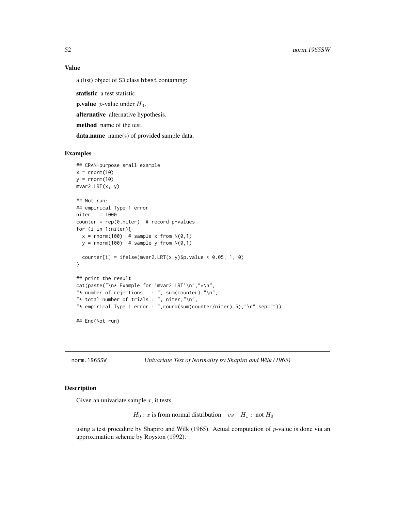## Value

a (list) object of S3 class htest containing:

statistic a test statistic.

**p.value** *p*-value under  $H_0$ .

alternative alternative hypothesis.

method name of the test.

data.name name(s) of provided sample data.

## Examples

```
## CRAN-purpose small example
x = rnorm(10)y = rnorm(10)mvar2.LRT(x, y)
## Not run:
## empirical Type 1 error
niter = 1000
counter = rep(0,niter) # record p-values
for (i in 1:niter){
 x = rnorm(100) # sample x from N(0,1)y = rnorm(100) # sample y from N(0,1)counter[i] = ifelse(mvar2.LRT(x,y)$p.value < 0.05, 1, 0)
}
## print the result
cat(paste("\n* Example for 'mvar2.LRT'\n","*\n",
"* number of rejections : ", sum(counter), "\n",
"* total number of trials : ", niter,"\n",
"* empirical Type 1 error : ",round(sum(counter/niter),5),"\n",sep=""))
## End(Not run)
```
norm.1965SW *Univariate Test of Normality by Shapiro and Wilk (1965)*

#### **Description**

Given an univariate sample  $x$ , it tests

 $H_0$ : x is from normal distribution vs  $H_1$ : not  $H_0$ 

using a test procedure by Shapiro and Wilk (1965). Actual computation of  $p$ -value is done via an approximation scheme by Royston (1992).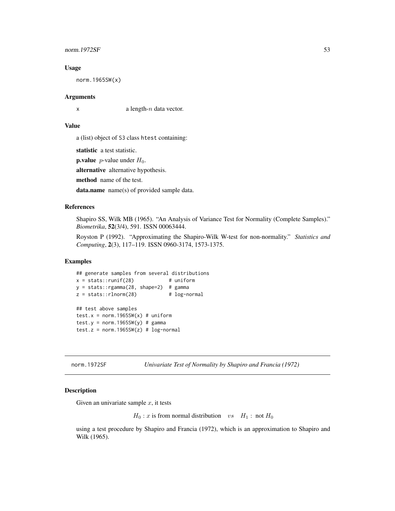## $normal.1972SF$  53

### Usage

norm.1965SW(x)

## Arguments

 $x \neq a$  length-*n* data vector.

## Value

a (list) object of S3 class htest containing:

statistic a test statistic.

**p.value** *p*-value under  $H_0$ .

alternative alternative hypothesis.

method name of the test.

data.name name(s) of provided sample data.

## References

Shapiro SS, Wilk MB (1965). "An Analysis of Variance Test for Normality (Complete Samples)." *Biometrika*, 52(3/4), 591. ISSN 00063444.

Royston P (1992). "Approximating the Shapiro-Wilk W-test for non-normality." *Statistics and Computing*, 2(3), 117–119. ISSN 0960-3174, 1573-1375.

### Examples

```
## generate samples from several distributions
x = stats::runif(28) # uniform
y = stats::rgamma(28, shape=2) # gammaz = stats::rlnorm(28) # log-normal## test above samples
test.x = norm.1965SW(x) # uniform
test.y = norm.1965SW(y) # gamma
test.z = norm.1965SW(z) # log-normal
```
norm.1972SF *Univariate Test of Normality by Shapiro and Francia (1972)*

#### Description

Given an univariate sample  $x$ , it tests

 $H_0$ : x is from normal distribution vs  $H_1$ : not  $H_0$ 

using a test procedure by Shapiro and Francia (1972), which is an approximation to Shapiro and Wilk (1965).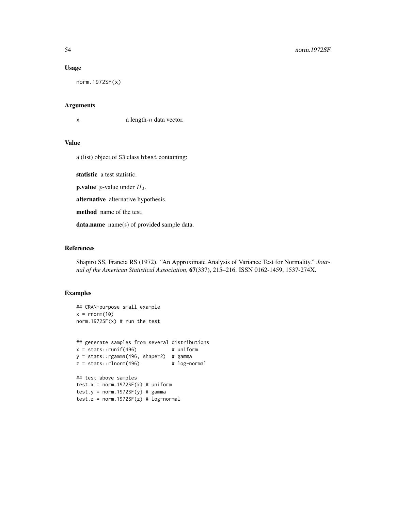### Usage

norm.1972SF(x)

## Arguments

 $x$  a length-n data vector.

## Value

a (list) object of S3 class htest containing:

statistic a test statistic.

**p.value** *p*-value under  $H_0$ .

alternative alternative hypothesis.

method name of the test.

data.name name(s) of provided sample data.

# References

Shapiro SS, Francia RS (1972). "An Approximate Analysis of Variance Test for Normality." *Journal of the American Statistical Association*, 67(337), 215–216. ISSN 0162-1459, 1537-274X.

```
## CRAN-purpose small example
x = rnorm(10)norm.1972SF(x) # run the test
## generate samples from several distributions
x = stats::runif(496) # uniform
y = stats::rgamma(496, shape=2) # gamma
z = stats::rlnorm(496) # log-normal## test above samples
test.x = norm.1972SF(x) # uniformtest.y = norm.1972SF(y) # gammatest.z = norm.1972SF(z) # log-normal
```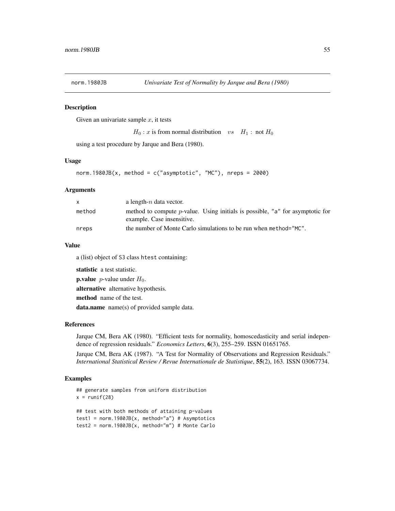Given an univariate sample  $x$ , it tests

 $H_0$ : x is from normal distribution vs  $H_1$ : not  $H_0$ 

using a test procedure by Jarque and Bera (1980).

### Usage

```
norm.1980JB(x, method = c("asymptotic", "MC"), nreps = 2000)
```
### **Arguments**

| X      | a length- $n$ data vector.                                                                                          |
|--------|---------------------------------------------------------------------------------------------------------------------|
| method | method to compute <i>p</i> -value. Using initials is possible, "a" for asymptotic for<br>example. Case insensitive. |
| nreps  | the number of Monte Carlo simulations to be run when method="MC".                                                   |

### Value

a (list) object of S3 class htest containing:

statistic a test statistic.

**p.value** *p*-value under  $H_0$ .

alternative alternative hypothesis.

method name of the test.

data.name name(s) of provided sample data.

#### References

Jarque CM, Bera AK (1980). "Efficient tests for normality, homoscedasticity and serial independence of regression residuals." *Economics Letters*, 6(3), 255–259. ISSN 01651765.

Jarque CM, Bera AK (1987). "A Test for Normality of Observations and Regression Residuals." *International Statistical Review / Revue Internationale de Statistique*, 55(2), 163. ISSN 03067734.

```
## generate samples from uniform distribution
x = runif(28)## test with both methods of attaining p-values
test1 = norm.1980JB(x, method="a") # Asymptotics
test2 = norm.1980JB(x, \text{ method="m"}) # Monte Carlo
```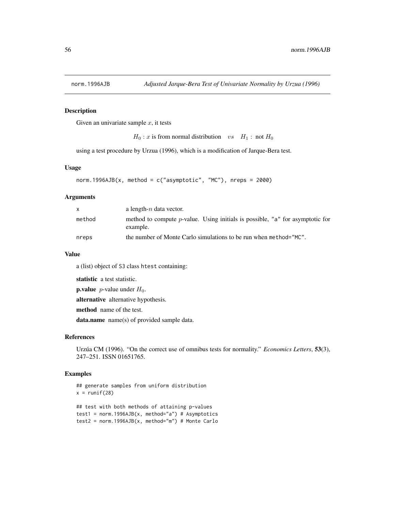Given an univariate sample  $x$ , it tests

```
H_0: x is from normal distribution vs H_1: not H_0
```
using a test procedure by Urzua (1996), which is a modification of Jarque-Bera test.

# Usage

```
norm.1996AJB(x, method = c("asymptotic", "MC"), nreps = 2000)
```
### **Arguments**

| $\mathsf{x}$ | a length- $n$ data vector.                                                                        |
|--------------|---------------------------------------------------------------------------------------------------|
| method       | method to compute <i>p</i> -value. Using initials is possible, "a" for asymptotic for<br>example. |
| nreps        | the number of Monte Carlo simulations to be run when method="MC".                                 |

#### Value

a (list) object of S3 class htest containing:

statistic a test statistic.

**p.value** *p*-value under  $H_0$ .

alternative alternative hypothesis.

method name of the test.

data.name name(s) of provided sample data.

## References

```
Urzúa CM (1996). "On the correct use of omnibus tests for normality." Economics Letters, 53(3),
247–251. ISSN 01651765.
```

```
## generate samples from uniform distribution
x = runif(28)## test with both methods of attaining p-values
test1 = norm.1996AJB(x, method="a") # Asymptotics
test2 = norm.1996AJB(x, method="m") # Monte Carlo
```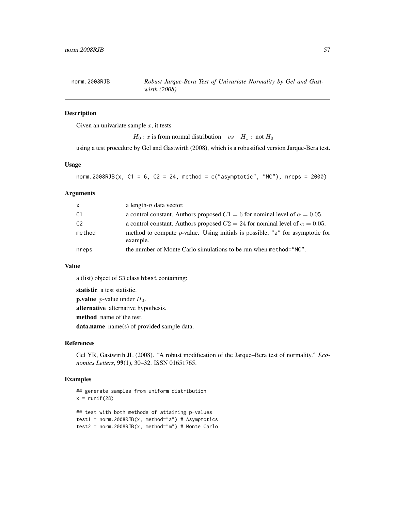Given an univariate sample  $x$ , it tests

 $H_0$ : x is from normal distribution vs  $H_1$ : not  $H_0$ 

using a test procedure by Gel and Gastwirth (2008), which is a robustified version Jarque-Bera test.

### Usage

```
norm.2008RJB(x, C1 = 6, C2 = 24, method = c("asymptotic", "MC"), nreps = 2000)
```
### Arguments

| $\mathsf{x}$   | a length- $n$ data vector.                                                                   |
|----------------|----------------------------------------------------------------------------------------------|
| -C1            | a control constant. Authors proposed $C1 = 6$ for nominal level of $\alpha = 0.05$ .         |
| C <sub>2</sub> | a control constant. Authors proposed $C2 = 24$ for nominal level of $\alpha = 0.05$ .        |
| method         | method to compute $p$ -value. Using initials is possible, "a" for asymptotic for<br>example. |
| nreps          | the number of Monte Carlo simulations to be run when method="MC".                            |

## Value

a (list) object of S3 class htest containing:

statistic a test statistic.

**p.value** *p*-value under  $H_0$ . alternative alternative hypothesis. method name of the test. data.name name(s) of provided sample data.

# References

Gel YR, Gastwirth JL (2008). "A robust modification of the Jarque–Bera test of normality." *Economics Letters*, 99(1), 30–32. ISSN 01651765.

```
## generate samples from uniform distribution
x = runif(28)## test with both methods of attaining p-values
test1 = norm.2008RJB(x, method="a") # Asymptotics
test2 = norm.2008RJB(x, method="m") # Monte Carlo
```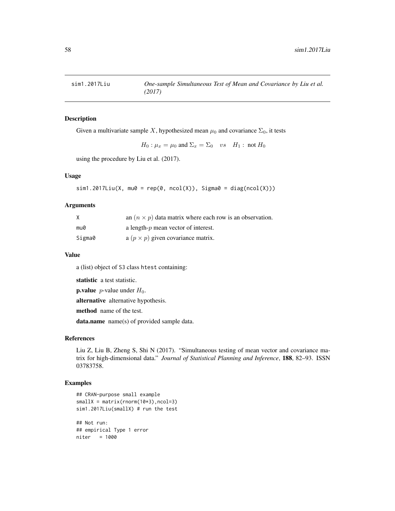Given a multivariate sample X, hypothesized mean  $\mu_0$  and covariance  $\Sigma_0$ , it tests

 $H_0: \mu_x = \mu_0$  and  $\Sigma_x = \Sigma_0$  vs  $H_1: \text{ not } H_0$ 

using the procedure by Liu et al. (2017).

### Usage

```
sim1.2017Liu(X, mu0 = rep(0, ncol(X)), Sigma0 = diag(ncol(X)))
```
#### Arguments

| X      | an $(n \times p)$ data matrix where each row is an observation. |
|--------|-----------------------------------------------------------------|
| mu0    | a length- $p$ mean vector of interest.                          |
| Sigma0 | a $(p \times p)$ given covariance matrix.                       |

## Value

a (list) object of S3 class htest containing:

statistic a test statistic.

**p.value** *p*-value under  $H_0$ .

alternative alternative hypothesis.

method name of the test.

data.name name(s) of provided sample data.

## References

Liu Z, Liu B, Zheng S, Shi N (2017). "Simultaneous testing of mean vector and covariance matrix for high-dimensional data." *Journal of Statistical Planning and Inference*, 188, 82–93. ISSN 03783758.

## Examples

```
## CRAN-purpose small example
smallX = matrix(rnorm(10*3), ncol=3)sim1.2017Liu(smallX) # run the test
```
## Not run: ## empirical Type 1 error niter = 1000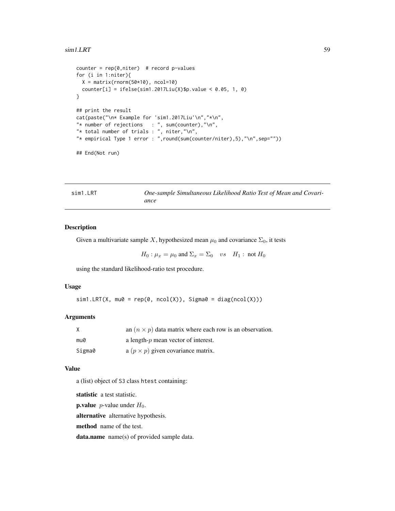### $\sin 1 \text{LRT}$  59

```
counter = rep(0,niter) # record p-values
for (i in 1:niter){
  X = matrix(rnorm(50*10), ncol=10)counter[i] = ifelse(sim1.2017Liu(X)$p.value < 0.05, 1, 0)
}
## print the result
cat(paste("\n* Example for 'sim1.2017Liu'\n","*\n",
"* number of rejections : ", sum(counter), "\n",
"* total number of trials : ", niter, "\n",
"* empirical Type 1 error : ",round(sum(counter/niter),5),"\n",sep=""))
## End(Not run)
```
sim1.LRT *One-sample Simultaneous Likelihood Ratio Test of Mean and Covariance*

# Description

Given a multivariate sample X, hypothesized mean  $\mu_0$  and covariance  $\Sigma_0$ , it tests

 $H_0: \mu_x = \mu_0$  and  $\Sigma_x = \Sigma_0$  vs  $H_1: \text{ not } H_0$ 

using the standard likelihood-ratio test procedure.

# Usage

 $sim1.LRT(X, mu0 = rep(0, ncol(X)), Signa0 = diag(ncol(X)))$ 

### Arguments

|        | an $(n \times p)$ data matrix where each row is an observation. |
|--------|-----------------------------------------------------------------|
| mu0    | a length-p mean vector of interest.                             |
| Sigma0 | a $(p \times p)$ given covariance matrix.                       |

### Value

a (list) object of S3 class htest containing:

statistic a test statistic.

**p.value** *p*-value under  $H_0$ .

alternative alternative hypothesis.

method name of the test.

data.name name(s) of provided sample data.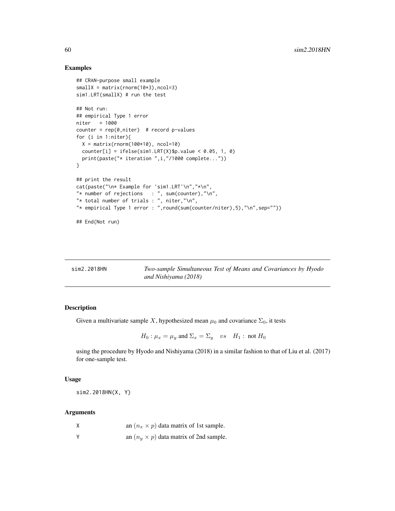## Examples

```
## CRAN-purpose small example
smallX = matrix(rnorm(10*3), ncol=3)sim1.LRT(smallX) # run the test
## Not run:
## empirical Type 1 error
niter = 1000
counter = rep(0,niter) # record p-values
for (i in 1:niter){
 X = matrix(rnorm(100*10), ncol=10)counter[i] = ifelse(sim1.LRT(X)$p.value < 0.05, 1, 0)
  print(paste("* iteration ",i,"/1000 complete..."))
}
## print the result
cat(paste("\n* Example for 'sim1.LRT'\n","*\n",
"* number of rejections : ", sum(counter), "\n",
"* total number of trials : ", niter,"\n",
"* empirical Type 1 error : ",round(sum(counter/niter),5),"\n",sep=""))
## End(Not run)
```

| sim2.2018HN | Two-sample Simultaneous Test of Means and Covariances by Hyodo |
|-------------|----------------------------------------------------------------|
|             | and Nishiyama (2018)                                           |

# Description

Given a multivariate sample X, hypothesized mean  $\mu_0$  and covariance  $\Sigma_0$ , it tests

 $H_0: \mu_x = \mu_y$  and  $\Sigma_x = \Sigma_y$  vs  $H_1: \text{not } H_0$ 

using the procedure by Hyodo and Nishiyama (2018) in a similar fashion to that of Liu et al. (2017) for one-sample test.

#### Usage

sim2.2018HN(X, Y)

#### Arguments

| X            | an $(n_x \times p)$ data matrix of 1st sample. |
|--------------|------------------------------------------------|
| $\mathsf{v}$ | an $(n_u \times p)$ data matrix of 2nd sample. |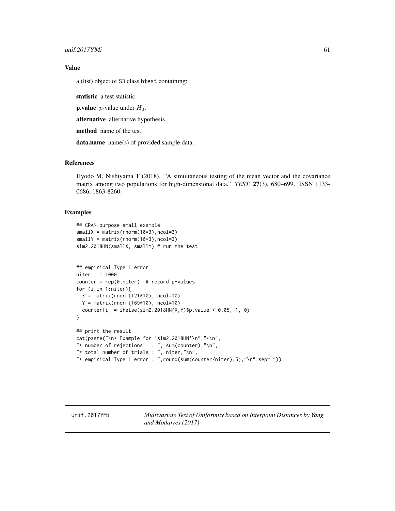# Value

a (list) object of S3 class htest containing:

statistic a test statistic.

**p.value** *p*-value under  $H_0$ .

alternative alternative hypothesis.

method name of the test.

data.name name(s) of provided sample data.

## References

Hyodo M, Nishiyama T (2018). "A simultaneous testing of the mean vector and the covariance matrix among two populations for high-dimensional data." *TEST*, 27(3), 680–699. ISSN 1133- 0686, 1863-8260.

### Examples

```
## CRAN-purpose small example
smallX = matrix(rnorm(10*3), ncol=3)smallY = matrix(rnorm(10*3), ncol=3)sim2.2018HN(smallX, smallY) # run the test
```

```
## empirical Type 1 error
niter = 1000
counter = rep(0,niter) # record p-values
for (i in 1:niter){
  X = matrix(rnorm(121*10), ncol=10)Y = matrix(rnorm(169*10), ncol=10)counter[i] = ifelse(sim2.2018HN(X,Y)$p.value < 0.05, 1, 0)
}
## print the result
cat(paste("\n* Example for 'sim2.2018HN'\n","*\n",
"* number of rejections : ", sum(counter), "\n",
"* total number of trials : ", niter,"\n",
"* empirical Type 1 error : ",round(sum(counter/niter),5),"\n",sep=""))
```
unif.2017YMi *Multivariate Test of Uniformity based on Interpoint Distances by Yang and Modarres (2017)*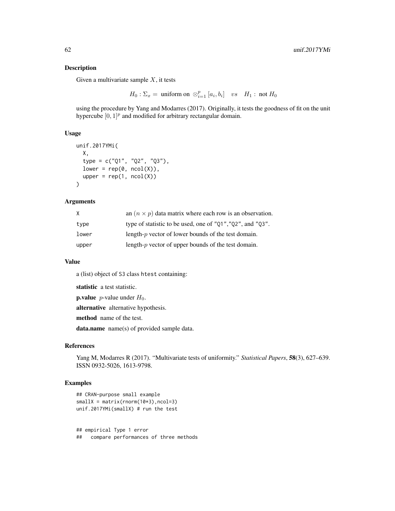Given a multivariate sample  $X$ , it tests

 $H_0: \Sigma_x = \text{ uniform on } \otimes_{i=1}^p [a_i, b_i]$  vs  $H_1: \text{ not } H_0$ 

using the procedure by Yang and Modarres (2017). Originally, it tests the goodness of fit on the unit hypercube  $[0, 1]^p$  and modified for arbitrary rectangular domain.

### Usage

```
unif.2017YMi(
 X,
  type = c("Q1", "Q2", "Q3"),
 lower = rep(0, ncol(X)),upper = rep(1, ncol(X)))
```
# Arguments

| X     | an $(n \times p)$ data matrix where each row is an observation. |
|-------|-----------------------------------------------------------------|
| type  | type of statistic to be used, one of "Q1", "Q2", and "Q3".      |
| lower | length- $p$ vector of lower bounds of the test domain.          |
| upper | length- $p$ vector of upper bounds of the test domain.          |

#### Value

a (list) object of S3 class htest containing:

statistic a test statistic.

**p.value** *p*-value under  $H_0$ .

alternative alternative hypothesis.

method name of the test.

data.name name(s) of provided sample data.

## References

Yang M, Modarres R (2017). "Multivariate tests of uniformity." *Statistical Papers*, 58(3), 627–639. ISSN 0932-5026, 1613-9798.

## Examples

```
## CRAN-purpose small example
smallX = matrix(rnorm(10*3), ncol=3)unif.2017YMi(smallX) # run the test
```
## empirical Type 1 error ## compare performances of three methods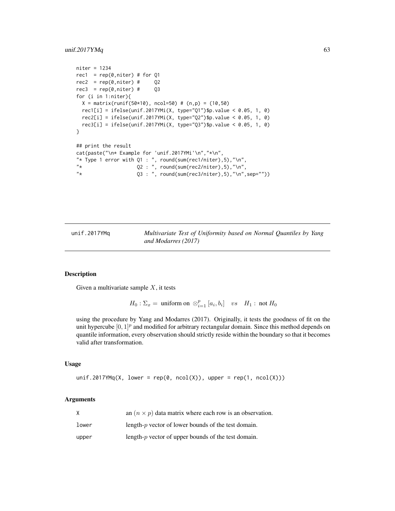# unif.2017YMq 63

```
niter = 1234
rec1 = rep(0,niter) # for Q1
rec2 = rep(0,niter) # Q2rec3 = rep(0,niter) # Q3for (i in 1:niter){
 X = matrix(runif(50*10), ncol=50) # (n,p) = (10,50)rec1[i] = ifelse(unif.2017YMi(X, type="Q1")$p.value < 0.05, 1, 0)
 rec2[i] = ifelse(unif.2017YMi(X, type="Q2")$p.value < 0.05, 1, 0)
 rec3[i] = ifelse(unif.2017YMi(X, type="Q3")$p.value < 0.05, 1, 0)
}
## print the result
cat(paste("\n* Example for 'unif.2017YMi'\n","*\n",
"* Type 1 error with Q1: ", round(sum(rec1/niter),5),"\n",
"\star 02 : ", round(sum(rec2/niter),5),"\n",
"* Q3 : ", round(sum(rec3/niter),5),"\n",sep=""))
```
unif.2017YMq *Multivariate Test of Uniformity based on Normal Quantiles by Yang and Modarres (2017)*

### Description

Given a multivariate sample  $X$ , it tests

 $H_0: \Sigma_x = \text{ uniform on } \otimes_{i=1}^p [a_i, b_i]$  vs  $H_1: \text{ not } H_0$ 

using the procedure by Yang and Modarres (2017). Originally, it tests the goodness of fit on the unit hypercube  $[0, 1]^p$  and modified for arbitrary rectangular domain. Since this method depends on quantile information, every observation should strictly reside within the boundary so that it becomes valid after transformation.

#### Usage

unif.2017YMq(X, lower = rep(0, ncol(X)), upper = rep(1, ncol(X)))

## Arguments

| X     | an $(n \times p)$ data matrix where each row is an observation. |
|-------|-----------------------------------------------------------------|
| lower | length- $p$ vector of lower bounds of the test domain.          |
| upper | length- $p$ vector of upper bounds of the test domain.          |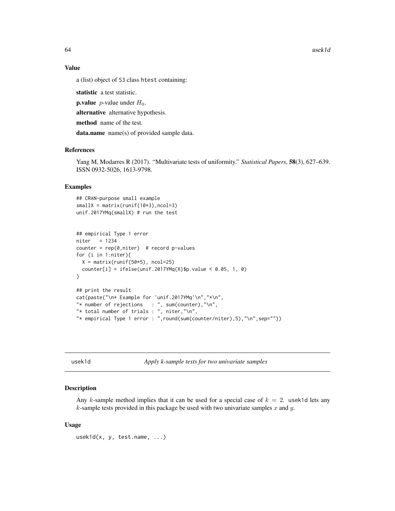64 usek1d

# Value

a (list) object of S3 class htest containing:

statistic a test statistic.

**p.value** *p*-value under  $H_0$ .

alternative alternative hypothesis.

method name of the test.

data.name name(s) of provided sample data.

## References

Yang M, Modarres R (2017). "Multivariate tests of uniformity." *Statistical Papers*, 58(3), 627–639. ISSN 0932-5026, 1613-9798.

# Examples

```
## CRAN-purpose small example
smallx = matrix(runif(10*3),ncol=3)unif.2017YMq(smallX) # run the test
```

```
## empirical Type 1 error
niter = 1234counter = rep(0,niter) # record p-values
for (i in 1:niter){
  X = matrix(runit(50*5), ncol=25)counter[i] = ifelse(unif.2017YMq(X)$p.value < 0.05, 1, 0)
}
## print the result
cat(paste("\n* Example for 'unif.2017YMq'\n","*\n",
"* number of rejections : ", sum(counter), "\n",
"* total number of trials : ", niter,"\n",
```
"\* empirical Type 1 error : ",round(sum(counter/niter),5),"\n",sep=""))

usek1d *Apply k-sample tests for two univariate samples*

### **Description**

Any k-sample method implies that it can be used for a special case of  $k = 2$ . usek1d lets any  $k$ -sample tests provided in this package be used with two univariate samples  $x$  and  $y$ .

### Usage

usek1d(x, y, test.name, ...)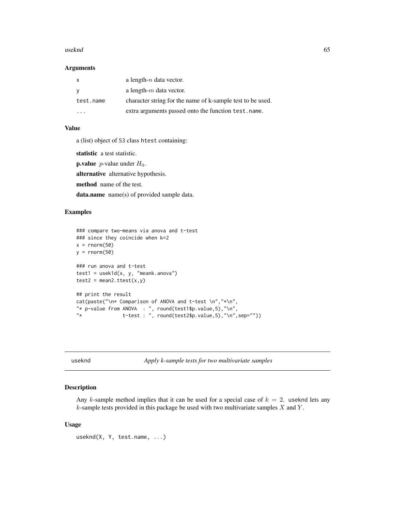### useknd 65 metal 65 metal 65 metal 65 metal 65 metal 65 metal 65 metal 65 metal 65 metal 65 metal 65 metal 65 metal 65 metal 65 metal. Anders of the state of the state of the state of the state of the state of the state of

### Arguments

|           | a length- $n$ data vector.                                 |
|-----------|------------------------------------------------------------|
|           | a length- $m$ data vector.                                 |
| test.name | character string for the name of k-sample test to be used. |
| $\cdot$   | extra arguments passed onto the function test.name.        |

# Value

a (list) object of S3 class htest containing:

statistic a test statistic.

**p.value** *p*-value under  $H_0$ .

alternative alternative hypothesis.

method name of the test.

data.name name(s) of provided sample data.

# Examples

```
### compare two-means via anova and t-test
### since they coincide when k=2
x = \text{norm}(50)y = rnorm(50)### run anova and t-test
test1 = usek1d(x, y, "meank.anova")test2 = mean2.test(x,y)## print the result
cat(paste("\n* Comparison of ANOVA and t-test \n","*\n",
"* p-value from ANOVA : ", round(test1$p.value,5),"\n",
               t-test : ", round(test2$p.value,5),"\n",sep=""))
```
useknd *Apply k-sample tests for two multivariate samples*

# Description

Any k-sample method implies that it can be used for a special case of  $k = 2$ . useknd lets any  $k$ -sample tests provided in this package be used with two multivariate samples  $X$  and  $Y$ .

## Usage

useknd(X, Y, test.name, ...)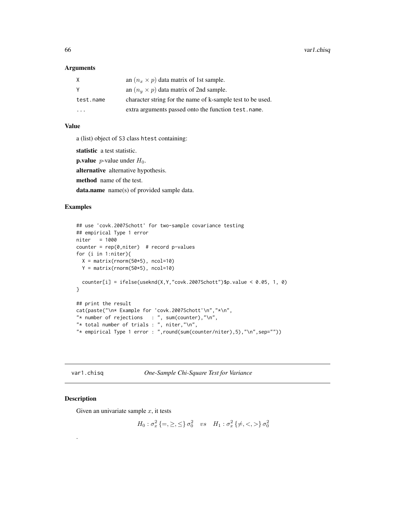### **Arguments**

| X         | an $(n_x \times p)$ data matrix of 1st sample.             |
|-----------|------------------------------------------------------------|
|           | an $(n_u \times p)$ data matrix of 2nd sample.             |
| test.name | character string for the name of k-sample test to be used. |
| .         | extra arguments passed onto the function test.name.        |

## Value

a (list) object of S3 class htest containing:

statistic a test statistic.

**p.value** *p*-value under  $H_0$ .

alternative alternative hypothesis.

method name of the test.

data.name name(s) of provided sample data.

# Examples

```
## use 'covk.2007Schott' for two-sample covariance testing
## empirical Type 1 error
niter = 1000
counter = rep(0,niter) # record p-values
for (i in 1:niter){
 X = matrix(rnorm(50*5), ncol=10)Y = matrix(rnorm(50*5), ncol=10)counter[i] = ifelse(useknd(X, Y, "covk.2007Schott")$p.value < 0.05, 1, 0)
}
## print the result
cat(paste("\n* Example for 'covk.2007Schott'\n","*\n",
"* number of rejections : ", sum(counter), "\n",
"* total number of trials : ", niter,"\n",
"* empirical Type 1 error : ",round(sum(counter/niter),5),"\n",sep=""))
```
var1.chisq *One-Sample Chi-Square Test for Variance*

# Description

.

Given an univariate sample  $x$ , it tests

 $H_0: \sigma_x^2 \{=,\geq,\leq\} \sigma_0^2$  vs  $H_1: \sigma_x^2 \{\neq, <, >\} \sigma_0^2$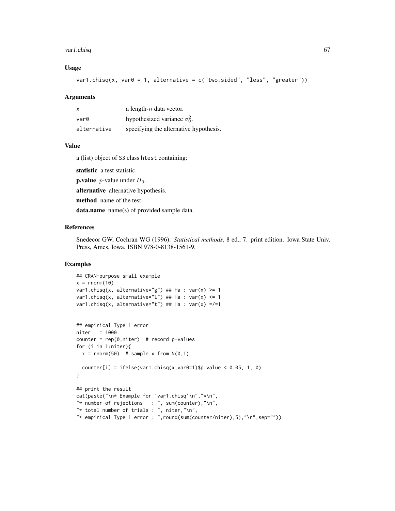### var1.chisq 67

## Usage

```
var1.chisq(x, var0 = 1, alternative = c("two.sided", "less", "greater"))
```
### **Arguments**

| $\boldsymbol{\mathsf{x}}$ | a length- $n$ data vector.             |
|---------------------------|----------------------------------------|
| var0                      | hypothesized variance $\sigma_0^2$ .   |
| alternative               | specifying the alternative hypothesis. |

## Value

a (list) object of S3 class htest containing:

statistic a test statistic.

**p.value** *p*-value under  $H_0$ .

alternative alternative hypothesis.

method name of the test.

data.name name(s) of provided sample data.

# References

Snedecor GW, Cochran WG (1996). *Statistical methods*, 8 ed., 7. print edition. Iowa State Univ. Press, Ames, Iowa. ISBN 978-0-8138-1561-9.

```
## CRAN-purpose small example
x = rnorm(10)var1.chisq(x, alternative="g") ## Ha : var(x) >= 1
var1.chisq(x, alternative="l") ## Ha : var(x) <= 1
var1.chisq(x, alternative="t") ## Ha : var(x) =/=1
## empirical Type 1 error
niter = 1000
counter = rep(\emptyset, niter) # record p-values
for (i in 1:niter){
  x = rnorm(50) # sample x from N(0,1)counter[i] = ifelse(var1.chisq(x,var0=1)$p.value < 0.05, 1, 0)
}
## print the result
cat(paste("\n* Example for 'var1.chisq'\n","*\n",
"* number of rejections : ", sum(counter), "\n",
"* total number of trials : ", niter,"\n",
"* empirical Type 1 error : ",round(sum(counter/niter),5),"\n",sep=""))
```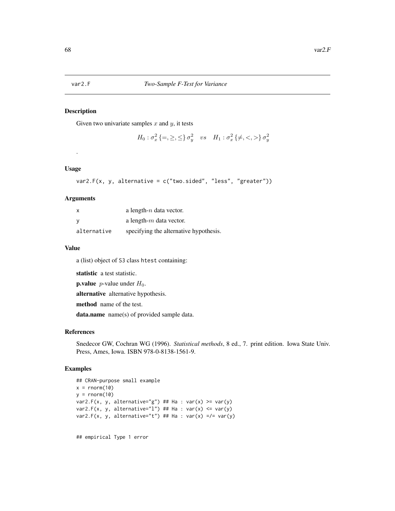Given two univariate samples  $x$  and  $y$ , it tests

```
H_0 : \sigma_x^2 \, \{=,\ge,\leq\} \, \sigma_y^2 \quad vs \quad H_1 : \sigma_x^2 \, \{ \ne, <, > \} \, \sigma_y^2
```
## Usage

.

```
var2.F(x, y, alternative = c("two.sided", "less", "greater"))
```
# Arguments

| х           | a length- $n$ data vector.             |
|-------------|----------------------------------------|
|             | a length- $m$ data vector.             |
| alternative | specifying the alternative hypothesis. |

# Value

a (list) object of S3 class htest containing:

statistic a test statistic.

**p.value** *p*-value under  $H_0$ .

alternative alternative hypothesis.

method name of the test.

data.name name(s) of provided sample data.

### References

Snedecor GW, Cochran WG (1996). *Statistical methods*, 8 ed., 7. print edition. Iowa State Univ. Press, Ames, Iowa. ISBN 978-0-8138-1561-9.

## Examples

```
## CRAN-purpose small example
x = rnorm(10)y = rnorm(10)var2.F(x, y, alternative="g") ## Ha : var(x) >= var(y)
var2.F(x, y, alternative="l") ## Ha : var(x) <= var(y)
var2.F(x, y, alternative="t") ## Ha : var(x) =/= var(y)
```
## empirical Type 1 error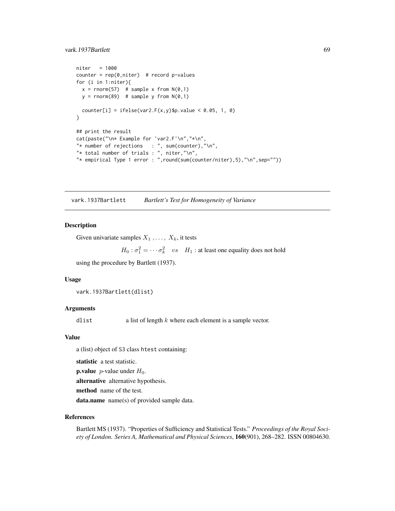# vark.1937Bartlett 69

```
niter = 1000
counter = rep(0,niter) # record p-values
for (i in 1:niter){
 x = rnorm(57) # sample x from N(0,1)y = rnorm(89) # sample y from N(0,1)counter[i] = ifelse(var2.F(x,y)$p.value < 0.05, 1, 0)
}
## print the result
cat(paste("\n* Example for 'var2.F'\n","*\n",
"* number of rejections : ", sum(counter), "\n",
"* total number of trials : ", niter, "\n",
"* empirical Type 1 error : ",round(sum(counter/niter),5),"\n",sep=""))
```
vark.1937Bartlett *Bartlett's Test for Homogeneity of Variance*

## Description

Given univariate samples  $X_1, \ldots, X_k$ , it tests

```
H_0: \sigma_1^2 = \cdots = \sigma_k^2 vs H_1: at least one equality does not hold
```
using the procedure by Bartlett (1937).

### Usage

```
vark.1937Bartlett(dlist)
```
## Arguments

dlist a list of length  $k$  where each element is a sample vector.

#### Value

a (list) object of S3 class htest containing:

statistic a test statistic.

**p.value** *p*-value under  $H_0$ .

alternative alternative hypothesis.

method name of the test.

data.name name(s) of provided sample data.

#### References

Bartlett MS (1937). "Properties of Sufficiency and Statistical Tests." *Proceedings of the Royal Society of London. Series A, Mathematical and Physical Sciences*, 160(901), 268–282. ISSN 00804630.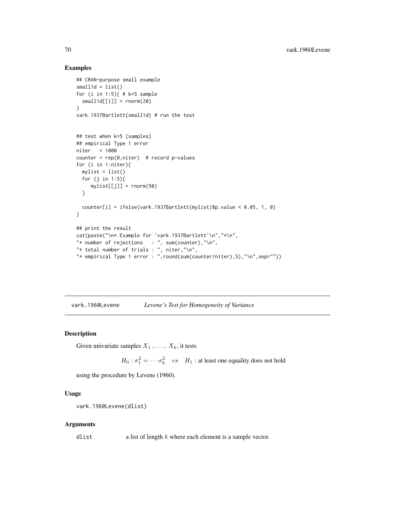## Examples

```
## CRAN-purpose small example
small1d = list()for (i in 1:5){ # k=5 sample
  small1d[[i]] = rnorm(20)}
vark.1937Bartlett(small1d) # run the test
## test when k=5 (samples)
## empirical Type 1 error
niter = 1000
counter = rep(0,niter) # record p-values
for (i in 1:niter){
 mylist = list()for (j in 1:5){
     mylist[[j]] = rnorm(50)
  }
  counter[i] = ifelse(vark.1937Bartlett(mylist)$p.value < 0.05, 1, 0)
}
## print the result
cat(paste("\n* Example for 'vark.1937Bartlett'\n","*\n",
"* number of rejections : ", sum(counter), "\n",
"* total number of trials : ", niter,"\n",
"* empirical Type 1 error : ",round(sum(counter/niter),5),"\n",sep=""))
```
vark.1960Levene *Levene's Test for Homogeneity of Variance*

# Description

Given univariate samples  $X_1, \ldots, X_k$ , it tests

 $H_0$ :  $\sigma_1^2 = \cdots = \sigma_k^2$  vs  $H_1$ : at least one equality does not hold

using the procedure by Levene (1960).

## Usage

```
vark.1960Levene(dlist)
```
### Arguments

dlist a list of length  $k$  where each element is a sample vector.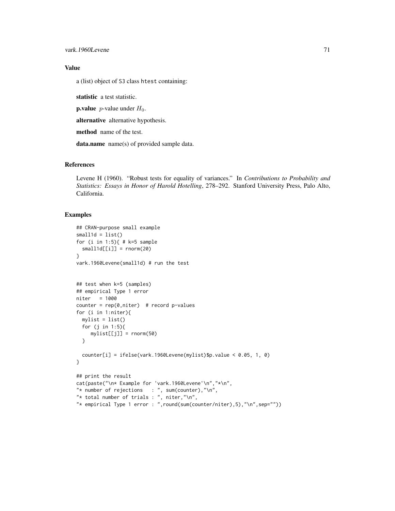# Value

a (list) object of S3 class htest containing:

statistic a test statistic.

**p.value** *p*-value under  $H_0$ .

alternative alternative hypothesis.

method name of the test.

data.name name(s) of provided sample data.

## References

Levene H (1960). "Robust tests for equality of variances." In *Contributions to Probability and Statistics: Essays in Honor of Harold Hotelling*, 278–292. Stanford University Press, Palo Alto, California.

```
## CRAN-purpose small example
small1d = list()for (i in 1:5){ # k=5 sample
  small1d[[i]] = rnorm(20)}
vark.1960Levene(small1d) # run the test
## test when k=5 (samples)
## empirical Type 1 error
niter = 1000
counter = rep(0,niter) # record p-values
for (i in 1:niter){
 mylist = list()
  for (j in 1:5){
     mylist[[j]] = rnorm(50)}
  counter[i] = ifelse(vark.1960Levene(mylist)$p.value < 0.05, 1, 0)
}
## print the result
cat(paste("\n* Example for 'vark.1960Levene'\n","*\n",
"* number of rejections : ", sum(counter), "\n",
"* total number of trials : ", niter,"\n",
"* empirical Type 1 error : ",round(sum(counter/niter),5),"\n",sep=""))
```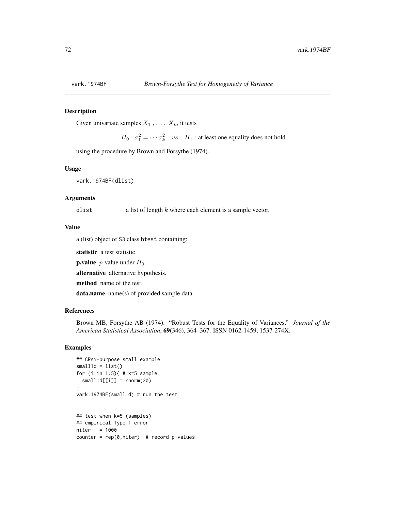Given univariate samples  $X_1, \ldots, X_k$ , it tests

 $H_0$ :  $\sigma_1^2 = \cdots = \sigma_k^2$  vs  $H_1$ : at least one equality does not hold

using the procedure by Brown and Forsythe (1974).

## Usage

vark.1974BF(dlist)

### **Arguments**

dlist a list of length  $k$  where each element is a sample vector.

# Value

a (list) object of S3 class htest containing:

statistic a test statistic.

**p.value** *p*-value under  $H_0$ .

alternative alternative hypothesis.

method name of the test.

data.name name(s) of provided sample data.

# References

Brown MB, Forsythe AB (1974). "Robust Tests for the Equality of Variances." *Journal of the American Statistical Association*, 69(346), 364–367. ISSN 0162-1459, 1537-274X.

```
## CRAN-purpose small example
small1d = list()for (i in 1:5){ # k=5 sample
 small1d[[i]] = rnorm(20)}
vark.1974BF(small1d) # run the test
## test when k=5 (samples)
## empirical Type 1 error
niter = 1000
counter = rep(0,niter) # record p-values
```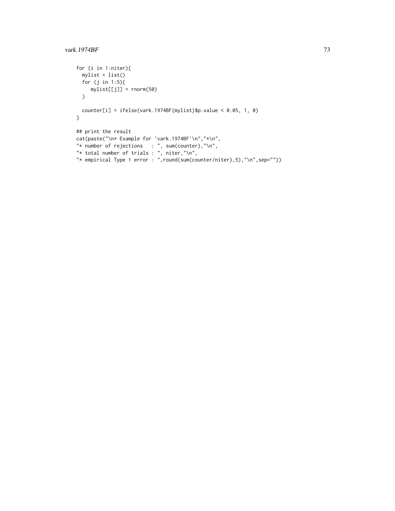```
for (i in 1:niter){
 mylist = list()
  for (j in 1:5){
    mylist[[j]] = rnorm(50)
  }
  counter[i] = ifelse(vark.1974BF(mylist)$p.value < 0.05, 1, 0)
}
## print the result
cat(paste("\n* Example for 'vark.1974BF'\n","*\n",
"* number of rejections : ", sum(counter), "\n",
"* total number of trials : ", niter, "\n",
"* empirical Type 1 error : ",round(sum(counter/niter),5),"\n",sep=""))
```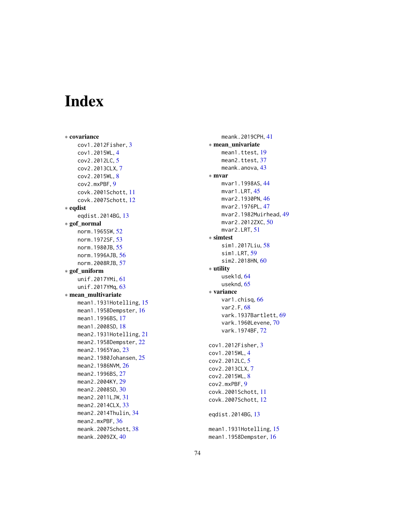## Index

∗ covariance cov1.2012Fisher , [3](#page-2-0) cov1.2015WL , [4](#page-3-0) cov2.2012LC , [5](#page-4-0) cov2.2013CLX , [7](#page-6-0) cov2.2015WL , [8](#page-7-0) cov2.mxPBF , [9](#page-8-0) covk.2001Schott , [11](#page-10-0) covk.2007Schott , [12](#page-11-0) ∗ eqdist eqdist.2014BG , [13](#page-12-0) ∗ gof\_normal norm.1965SW , [52](#page-51-0) norm.1972SF , [53](#page-52-0) norm.1980JB , [55](#page-54-0) norm.1996AJB, [56](#page-55-0) norm.2008RJB, <mark>5</mark>7 ∗ gof\_uniform unif.2017YMi, [61](#page-60-0) unif.2017YMq, [63](#page-62-0) ∗ mean\_multivariate mean1.1931Hotelling, [15](#page-14-0) mean1.1958Dempster,1<mark>6</mark> mean1.1996BS, [17](#page-16-0) mean1.2008SD , [18](#page-17-0) mean2.1931Hotelling, [21](#page-20-0) mean2.1958Dempster, [22](#page-21-0) mean2.1965Yao, [23](#page-22-0) mean2.1980Johansen, [25](#page-24-0) mean2.1986NVM, [26](#page-25-0) mean2.1996BS, [27](#page-26-0) mean2.2004KY,[29](#page-28-0) mean2.2008SD, [30](#page-29-0) mean2.2011LJW, [31](#page-30-0) mean2.2014CLX, [33](#page-32-0) mean2.2014Thulin , [34](#page-33-0) mean2.mxPBF, [36](#page-35-0) meank.2007Schott, [38](#page-37-0) meank.2009ZX,[40](#page-39-0)

meank.2019CPH, [41](#page-40-0) ∗ mean\_univariate mean1.ttest , [19](#page-18-0) mean2.ttest, [37](#page-36-0) meank.anova, [43](#page-42-0) ∗ mvar mvar1.1998AS, [44](#page-43-0) mvar1.LRT, [45](#page-44-0) mvar2.1930PN,[46](#page-45-0) mvar2.1976PL, [47](#page-46-0) mvar2.1982Muirhead , [49](#page-48-0) mvar2.2012ZXC,<mark>5</mark>0 mvar2.LRT , [51](#page-50-0) ∗ simtest sim1.2017Liu , [58](#page-57-0) sim1.LRT, [59](#page-58-0) sim2.2018HN, [60](#page-59-0) ∗ utility usek1d, [64](#page-63-0) useknd, [65](#page-64-0) ∗ variance var1.chisq, [66](#page-65-0) var2.F, [68](#page-67-0) vark.1937Bartlett, [69](#page-68-0) vark.1960Levene, [70](#page-69-0) vark.1974BF , [72](#page-71-0) cov1.2012Fisher , [3](#page-2-0) cov1.2015WL , [4](#page-3-0) cov2.2012LC , [5](#page-4-0) cov2.2013CLX , [7](#page-6-0) cov2.2015WL , [8](#page-7-0) cov2.mxPBF , [9](#page-8-0) covk.2001Schott , [11](#page-10-0) covk.2007Schott , [12](#page-11-0) eqdist.2014BG , [13](#page-12-0) mean1.1931Hotelling, [15](#page-14-0) mean1.1958Dempster,1<mark>6</mark>